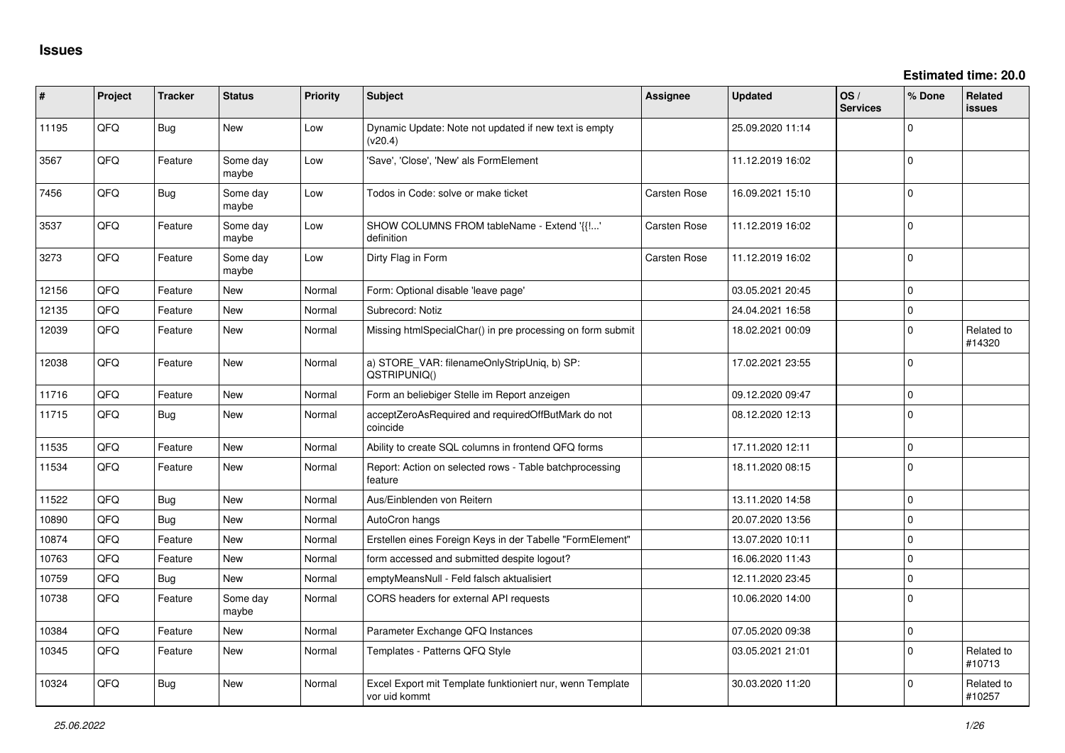**Estimated time: 20.0**

| ∦     | Project | <b>Tracker</b> | <b>Status</b>     | <b>Priority</b> | <b>Subject</b>                                                             | <b>Assignee</b>     | <b>Updated</b>   | OS/<br><b>Services</b> | % Done       | Related<br>issues    |
|-------|---------|----------------|-------------------|-----------------|----------------------------------------------------------------------------|---------------------|------------------|------------------------|--------------|----------------------|
| 11195 | QFQ     | <b>Bug</b>     | New               | Low             | Dynamic Update: Note not updated if new text is empty<br>(v20.4)           |                     | 25.09.2020 11:14 |                        | $\Omega$     |                      |
| 3567  | QFQ     | Feature        | Some day<br>maybe | Low             | 'Save', 'Close', 'New' als FormElement                                     |                     | 11.12.2019 16:02 |                        | $\Omega$     |                      |
| 7456  | QFQ     | Bug            | Some day<br>maybe | Low             | Todos in Code: solve or make ticket                                        | <b>Carsten Rose</b> | 16.09.2021 15:10 |                        | $\Omega$     |                      |
| 3537  | QFQ     | Feature        | Some day<br>maybe | Low             | SHOW COLUMNS FROM tableName - Extend '{{!'<br>definition                   | Carsten Rose        | 11.12.2019 16:02 |                        | $\mathbf 0$  |                      |
| 3273  | QFQ     | Feature        | Some day<br>maybe | Low             | Dirty Flag in Form                                                         | Carsten Rose        | 11.12.2019 16:02 |                        | $\Omega$     |                      |
| 12156 | QFQ     | Feature        | New               | Normal          | Form: Optional disable 'leave page'                                        |                     | 03.05.2021 20:45 |                        | $\mathbf 0$  |                      |
| 12135 | QFQ     | Feature        | <b>New</b>        | Normal          | Subrecord: Notiz                                                           |                     | 24.04.2021 16:58 |                        | $\Omega$     |                      |
| 12039 | QFQ     | Feature        | New               | Normal          | Missing htmlSpecialChar() in pre processing on form submit                 |                     | 18.02.2021 00:09 |                        | $\mathbf 0$  | Related to<br>#14320 |
| 12038 | QFQ     | Feature        | <b>New</b>        | Normal          | a) STORE_VAR: filenameOnlyStripUniq, b) SP:<br>QSTRIPUNIQ()                |                     | 17.02.2021 23:55 |                        | $\Omega$     |                      |
| 11716 | QFQ     | Feature        | <b>New</b>        | Normal          | Form an beliebiger Stelle im Report anzeigen                               |                     | 09.12.2020 09:47 |                        | $\mathbf 0$  |                      |
| 11715 | QFQ     | Bug            | <b>New</b>        | Normal          | acceptZeroAsRequired and requiredOffButMark do not<br>coincide             |                     | 08.12.2020 12:13 |                        | $\Omega$     |                      |
| 11535 | QFQ     | Feature        | <b>New</b>        | Normal          | Ability to create SQL columns in frontend QFQ forms                        |                     | 17.11.2020 12:11 |                        | $\Omega$     |                      |
| 11534 | QFQ     | Feature        | <b>New</b>        | Normal          | Report: Action on selected rows - Table batchprocessing<br>feature         |                     | 18.11.2020 08:15 |                        | $\mathbf 0$  |                      |
| 11522 | QFQ     | Bug            | <b>New</b>        | Normal          | Aus/Einblenden von Reitern                                                 |                     | 13.11.2020 14:58 |                        | l 0          |                      |
| 10890 | QFQ     | Bug            | New               | Normal          | AutoCron hangs                                                             |                     | 20.07.2020 13:56 |                        | l 0          |                      |
| 10874 | QFQ     | Feature        | <b>New</b>        | Normal          | Erstellen eines Foreign Keys in der Tabelle "FormElement"                  |                     | 13.07.2020 10:11 |                        | $\Omega$     |                      |
| 10763 | QFQ     | Feature        | <b>New</b>        | Normal          | form accessed and submitted despite logout?                                |                     | 16.06.2020 11:43 |                        | $\mathbf{0}$ |                      |
| 10759 | QFQ     | Bug            | <b>New</b>        | Normal          | emptyMeansNull - Feld falsch aktualisiert                                  |                     | 12.11.2020 23:45 |                        | $\mathbf 0$  |                      |
| 10738 | QFQ     | Feature        | Some day<br>maybe | Normal          | CORS headers for external API requests                                     |                     | 10.06.2020 14:00 |                        | $\mathbf 0$  |                      |
| 10384 | QFQ     | Feature        | <b>New</b>        | Normal          | Parameter Exchange QFQ Instances                                           |                     | 07.05.2020 09:38 |                        | $\mathbf 0$  |                      |
| 10345 | QFQ     | Feature        | <b>New</b>        | Normal          | Templates - Patterns QFQ Style                                             |                     | 03.05.2021 21:01 |                        | $\mathbf 0$  | Related to<br>#10713 |
| 10324 | QFQ     | Bug            | <b>New</b>        | Normal          | Excel Export mit Template funktioniert nur, wenn Template<br>vor uid kommt |                     | 30.03.2020 11:20 |                        | $\Omega$     | Related to<br>#10257 |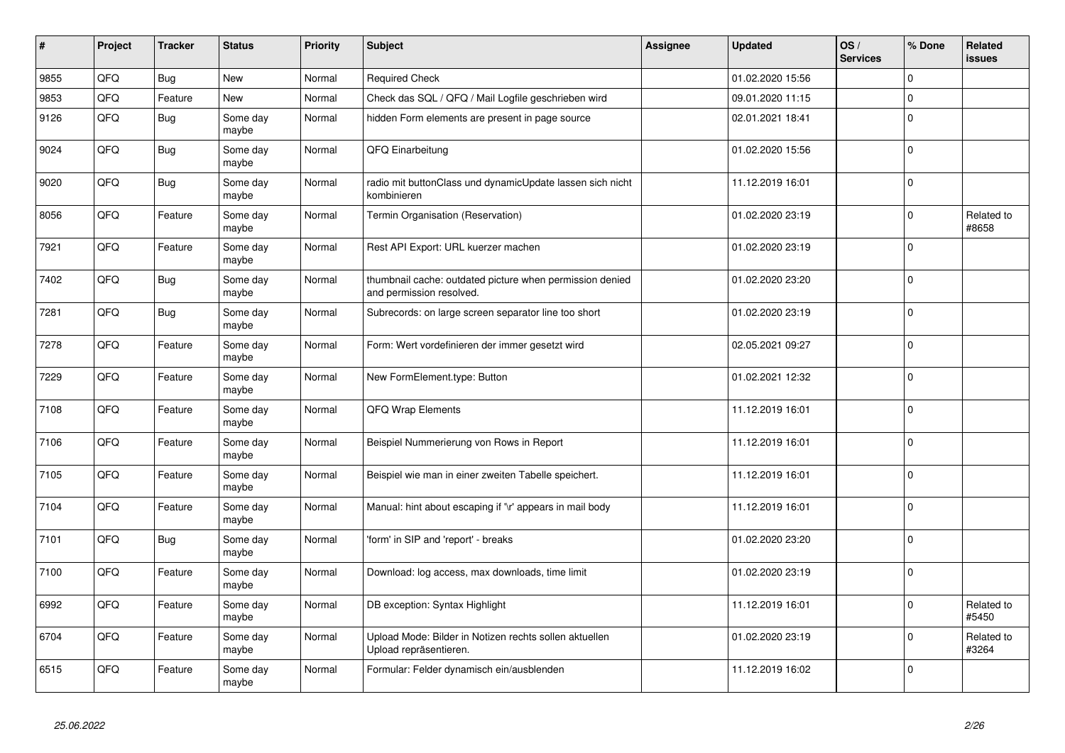| #    | Project | <b>Tracker</b> | <b>Status</b>     | <b>Priority</b> | <b>Subject</b>                                                                       | Assignee | <b>Updated</b>   | OS/<br><b>Services</b> | % Done      | Related<br>issues   |
|------|---------|----------------|-------------------|-----------------|--------------------------------------------------------------------------------------|----------|------------------|------------------------|-------------|---------------------|
| 9855 | QFQ     | Bug            | <b>New</b>        | Normal          | <b>Required Check</b>                                                                |          | 01.02.2020 15:56 |                        | $\Omega$    |                     |
| 9853 | QFQ     | Feature        | <b>New</b>        | Normal          | Check das SQL / QFQ / Mail Logfile geschrieben wird                                  |          | 09.01.2020 11:15 |                        | $\Omega$    |                     |
| 9126 | QFQ     | Bug            | Some day<br>maybe | Normal          | hidden Form elements are present in page source                                      |          | 02.01.2021 18:41 |                        | $\Omega$    |                     |
| 9024 | QFQ     | Bug            | Some day<br>maybe | Normal          | QFQ Einarbeitung                                                                     |          | 01.02.2020 15:56 |                        | $\Omega$    |                     |
| 9020 | QFQ     | <b>Bug</b>     | Some day<br>maybe | Normal          | radio mit buttonClass und dynamicUpdate lassen sich nicht<br>kombinieren             |          | 11.12.2019 16:01 |                        | $\Omega$    |                     |
| 8056 | QFQ     | Feature        | Some day<br>maybe | Normal          | Termin Organisation (Reservation)                                                    |          | 01.02.2020 23:19 |                        | 0           | Related to<br>#8658 |
| 7921 | QFQ     | Feature        | Some day<br>maybe | Normal          | Rest API Export: URL kuerzer machen                                                  |          | 01.02.2020 23:19 |                        | $\Omega$    |                     |
| 7402 | QFQ     | Bug            | Some day<br>maybe | Normal          | thumbnail cache: outdated picture when permission denied<br>and permission resolved. |          | 01.02.2020 23:20 |                        | $\Omega$    |                     |
| 7281 | QFQ     | Bug            | Some day<br>maybe | Normal          | Subrecords: on large screen separator line too short                                 |          | 01.02.2020 23:19 |                        | $\mathbf 0$ |                     |
| 7278 | QFQ     | Feature        | Some day<br>maybe | Normal          | Form: Wert vordefinieren der immer gesetzt wird                                      |          | 02.05.2021 09:27 |                        | $\Omega$    |                     |
| 7229 | QFQ     | Feature        | Some day<br>maybe | Normal          | New FormElement.type: Button                                                         |          | 01.02.2021 12:32 |                        | $\Omega$    |                     |
| 7108 | QFQ     | Feature        | Some day<br>maybe | Normal          | QFQ Wrap Elements                                                                    |          | 11.12.2019 16:01 |                        | $\Omega$    |                     |
| 7106 | QFQ     | Feature        | Some day<br>maybe | Normal          | Beispiel Nummerierung von Rows in Report                                             |          | 11.12.2019 16:01 |                        | $\Omega$    |                     |
| 7105 | QFQ     | Feature        | Some day<br>maybe | Normal          | Beispiel wie man in einer zweiten Tabelle speichert.                                 |          | 11.12.2019 16:01 |                        | $\mathbf 0$ |                     |
| 7104 | QFQ     | Feature        | Some day<br>maybe | Normal          | Manual: hint about escaping if '\r' appears in mail body                             |          | 11.12.2019 16:01 |                        | $\mathbf 0$ |                     |
| 7101 | QFQ     | Bug            | Some day<br>maybe | Normal          | 'form' in SIP and 'report' - breaks                                                  |          | 01.02.2020 23:20 |                        | $\Omega$    |                     |
| 7100 | QFQ     | Feature        | Some day<br>maybe | Normal          | Download: log access, max downloads, time limit                                      |          | 01.02.2020 23:19 |                        | $\Omega$    |                     |
| 6992 | QFQ     | Feature        | Some day<br>maybe | Normal          | DB exception: Syntax Highlight                                                       |          | 11.12.2019 16:01 |                        | $\Omega$    | Related to<br>#5450 |
| 6704 | QFQ     | Feature        | Some day<br>maybe | Normal          | Upload Mode: Bilder in Notizen rechts sollen aktuellen<br>Upload repräsentieren.     |          | 01.02.2020 23:19 |                        | $\Omega$    | Related to<br>#3264 |
| 6515 | QFQ     | Feature        | Some day<br>maybe | Normal          | Formular: Felder dynamisch ein/ausblenden                                            |          | 11.12.2019 16:02 |                        | $\Omega$    |                     |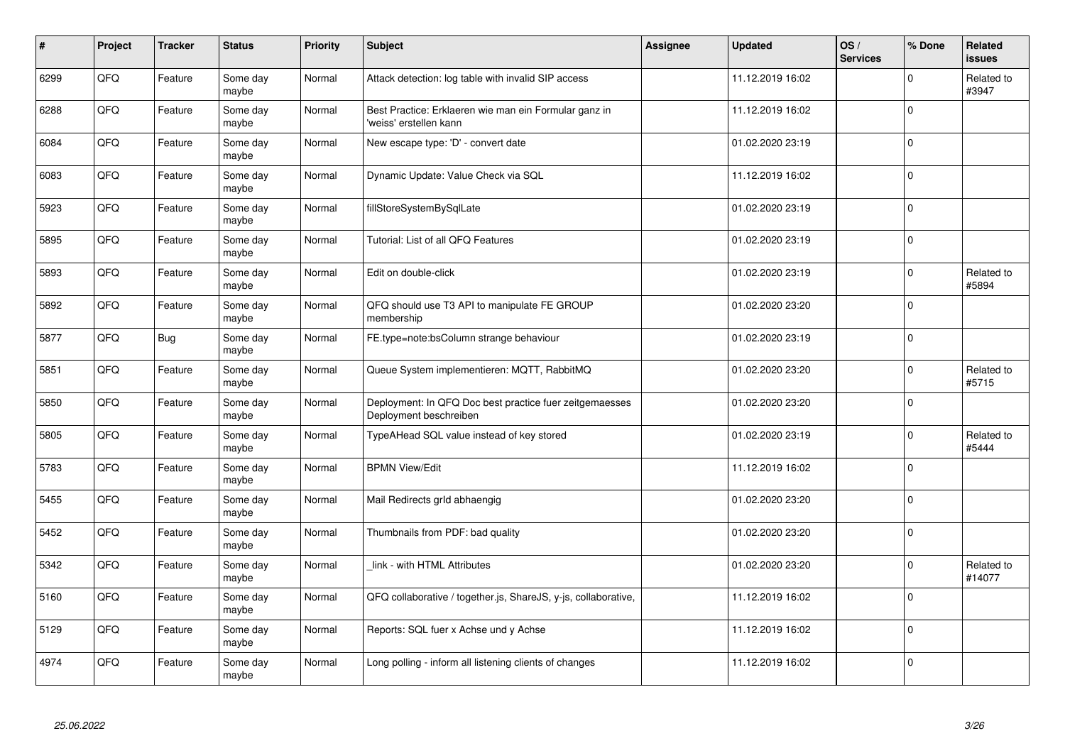| $\vert$ # | Project | <b>Tracker</b> | <b>Status</b>     | <b>Priority</b> | Subject                                                                           | Assignee | <b>Updated</b>   | OS/<br><b>Services</b> | % Done      | Related<br><b>issues</b> |
|-----------|---------|----------------|-------------------|-----------------|-----------------------------------------------------------------------------------|----------|------------------|------------------------|-------------|--------------------------|
| 6299      | QFQ     | Feature        | Some day<br>maybe | Normal          | Attack detection: log table with invalid SIP access                               |          | 11.12.2019 16:02 |                        | $\Omega$    | Related to<br>#3947      |
| 6288      | QFQ     | Feature        | Some day<br>maybe | Normal          | Best Practice: Erklaeren wie man ein Formular ganz in<br>'weiss' erstellen kann   |          | 11.12.2019 16:02 |                        | $\Omega$    |                          |
| 6084      | QFQ     | Feature        | Some day<br>maybe | Normal          | New escape type: 'D' - convert date                                               |          | 01.02.2020 23:19 |                        | $\Omega$    |                          |
| 6083      | QFQ     | Feature        | Some day<br>maybe | Normal          | Dynamic Update: Value Check via SQL                                               |          | 11.12.2019 16:02 |                        | $\Omega$    |                          |
| 5923      | QFQ     | Feature        | Some day<br>maybe | Normal          | fillStoreSystemBySqlLate                                                          |          | 01.02.2020 23:19 |                        | $\Omega$    |                          |
| 5895      | QFQ     | Feature        | Some day<br>maybe | Normal          | Tutorial: List of all QFQ Features                                                |          | 01.02.2020 23:19 |                        | $\Omega$    |                          |
| 5893      | QFQ     | Feature        | Some day<br>maybe | Normal          | Edit on double-click                                                              |          | 01.02.2020 23:19 |                        | 0           | Related to<br>#5894      |
| 5892      | QFQ     | Feature        | Some day<br>maybe | Normal          | QFQ should use T3 API to manipulate FE GROUP<br>membership                        |          | 01.02.2020 23:20 |                        | $\Omega$    |                          |
| 5877      | QFQ     | Bug            | Some day<br>maybe | Normal          | FE.type=note:bsColumn strange behaviour                                           |          | 01.02.2020 23:19 |                        | $\Omega$    |                          |
| 5851      | QFQ     | Feature        | Some day<br>maybe | Normal          | Queue System implementieren: MQTT, RabbitMQ                                       |          | 01.02.2020 23:20 |                        | $\mathbf 0$ | Related to<br>#5715      |
| 5850      | QFQ     | Feature        | Some day<br>maybe | Normal          | Deployment: In QFQ Doc best practice fuer zeitgemaesses<br>Deployment beschreiben |          | 01.02.2020 23:20 |                        | $\Omega$    |                          |
| 5805      | QFQ     | Feature        | Some day<br>maybe | Normal          | TypeAHead SQL value instead of key stored                                         |          | 01.02.2020 23:19 |                        | $\Omega$    | Related to<br>#5444      |
| 5783      | QFQ     | Feature        | Some day<br>maybe | Normal          | <b>BPMN View/Edit</b>                                                             |          | 11.12.2019 16:02 |                        | $\mathbf 0$ |                          |
| 5455      | QFQ     | Feature        | Some day<br>maybe | Normal          | Mail Redirects grld abhaengig                                                     |          | 01.02.2020 23:20 |                        | 0           |                          |
| 5452      | QFQ     | Feature        | Some day<br>maybe | Normal          | Thumbnails from PDF: bad quality                                                  |          | 01.02.2020 23:20 |                        | $\Omega$    |                          |
| 5342      | QFQ     | Feature        | Some day<br>maybe | Normal          | link - with HTML Attributes                                                       |          | 01.02.2020 23:20 |                        | $\Omega$    | Related to<br>#14077     |
| 5160      | QFQ     | Feature        | Some day<br>maybe | Normal          | QFQ collaborative / together.js, ShareJS, y-js, collaborative,                    |          | 11.12.2019 16:02 |                        | $\Omega$    |                          |
| 5129      | QFQ     | Feature        | Some day<br>maybe | Normal          | Reports: SQL fuer x Achse und y Achse                                             |          | 11.12.2019 16:02 |                        | 0           |                          |
| 4974      | QFQ     | Feature        | Some day<br>maybe | Normal          | Long polling - inform all listening clients of changes                            |          | 11.12.2019 16:02 |                        | $\Omega$    |                          |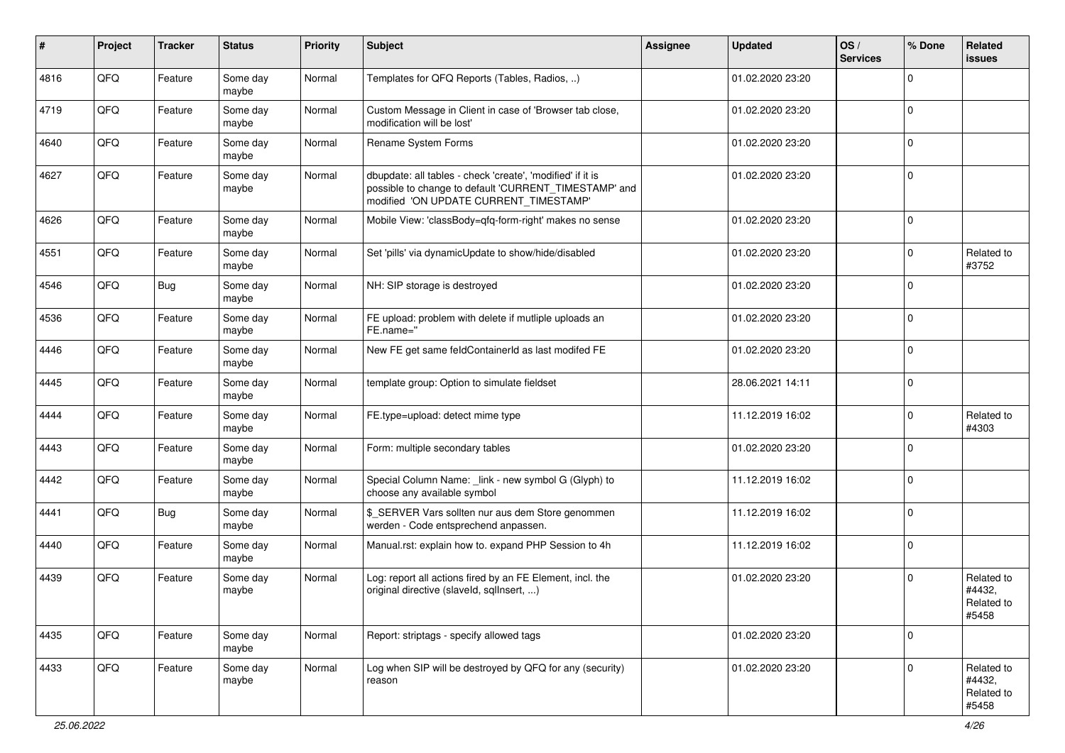| $\pmb{\#}$ | Project | <b>Tracker</b> | <b>Status</b>     | <b>Priority</b> | Subject                                                                                                                                                       | Assignee | <b>Updated</b>   | OS/<br><b>Services</b> | % Done      | Related<br>issues                           |
|------------|---------|----------------|-------------------|-----------------|---------------------------------------------------------------------------------------------------------------------------------------------------------------|----------|------------------|------------------------|-------------|---------------------------------------------|
| 4816       | QFQ     | Feature        | Some day<br>maybe | Normal          | Templates for QFQ Reports (Tables, Radios, )                                                                                                                  |          | 01.02.2020 23:20 |                        | $\Omega$    |                                             |
| 4719       | QFQ     | Feature        | Some day<br>maybe | Normal          | Custom Message in Client in case of 'Browser tab close,<br>modification will be lost'                                                                         |          | 01.02.2020 23:20 |                        | $\mathbf 0$ |                                             |
| 4640       | QFQ     | Feature        | Some day<br>maybe | Normal          | Rename System Forms                                                                                                                                           |          | 01.02.2020 23:20 |                        | $\Omega$    |                                             |
| 4627       | QFQ     | Feature        | Some day<br>maybe | Normal          | dbupdate: all tables - check 'create', 'modified' if it is<br>possible to change to default 'CURRENT_TIMESTAMP' and<br>modified 'ON UPDATE CURRENT_TIMESTAMP' |          | 01.02.2020 23:20 |                        | $\mathbf 0$ |                                             |
| 4626       | QFQ     | Feature        | Some day<br>maybe | Normal          | Mobile View: 'classBody=qfq-form-right' makes no sense                                                                                                        |          | 01.02.2020 23:20 |                        | $\Omega$    |                                             |
| 4551       | QFQ     | Feature        | Some day<br>maybe | Normal          | Set 'pills' via dynamicUpdate to show/hide/disabled                                                                                                           |          | 01.02.2020 23:20 |                        | 0           | Related to<br>#3752                         |
| 4546       | QFQ     | <b>Bug</b>     | Some day<br>maybe | Normal          | NH: SIP storage is destroyed                                                                                                                                  |          | 01.02.2020 23:20 |                        | $\Omega$    |                                             |
| 4536       | QFQ     | Feature        | Some day<br>maybe | Normal          | FE upload: problem with delete if mutliple uploads an<br>FE.name="                                                                                            |          | 01.02.2020 23:20 |                        | $\Omega$    |                                             |
| 4446       | QFQ     | Feature        | Some day<br>maybe | Normal          | New FE get same feldContainerId as last modifed FE                                                                                                            |          | 01.02.2020 23:20 |                        | $\mathbf 0$ |                                             |
| 4445       | QFQ     | Feature        | Some day<br>maybe | Normal          | template group: Option to simulate fieldset                                                                                                                   |          | 28.06.2021 14:11 |                        | $\mathbf 0$ |                                             |
| 4444       | QFQ     | Feature        | Some day<br>maybe | Normal          | FE.type=upload: detect mime type                                                                                                                              |          | 11.12.2019 16:02 |                        | $\Omega$    | Related to<br>#4303                         |
| 4443       | QFQ     | Feature        | Some day<br>maybe | Normal          | Form: multiple secondary tables                                                                                                                               |          | 01.02.2020 23:20 |                        | $\Omega$    |                                             |
| 4442       | QFQ     | Feature        | Some day<br>maybe | Normal          | Special Column Name: _link - new symbol G (Glyph) to<br>choose any available symbol                                                                           |          | 11.12.2019 16:02 |                        | $\Omega$    |                                             |
| 4441       | QFQ     | <b>Bug</b>     | Some day<br>maybe | Normal          | \$_SERVER Vars sollten nur aus dem Store genommen<br>werden - Code entsprechend anpassen.                                                                     |          | 11.12.2019 16:02 |                        | $\Omega$    |                                             |
| 4440       | QFQ     | Feature        | Some day<br>maybe | Normal          | Manual.rst: explain how to. expand PHP Session to 4h                                                                                                          |          | 11.12.2019 16:02 |                        | 0           |                                             |
| 4439       | QFQ     | Feature        | Some day<br>maybe | Normal          | Log: report all actions fired by an FE Element, incl. the<br>original directive (slaveld, sqlInsert, )                                                        |          | 01.02.2020 23:20 |                        | 0           | Related to<br>#4432,<br>Related to<br>#5458 |
| 4435       | QFQ     | Feature        | Some day<br>maybe | Normal          | Report: striptags - specify allowed tags                                                                                                                      |          | 01.02.2020 23:20 |                        | $\mathbf 0$ |                                             |
| 4433       | QFQ     | Feature        | Some day<br>maybe | Normal          | Log when SIP will be destroyed by QFQ for any (security)<br>reason                                                                                            |          | 01.02.2020 23:20 |                        | $\Omega$    | Related to<br>#4432,<br>Related to<br>#5458 |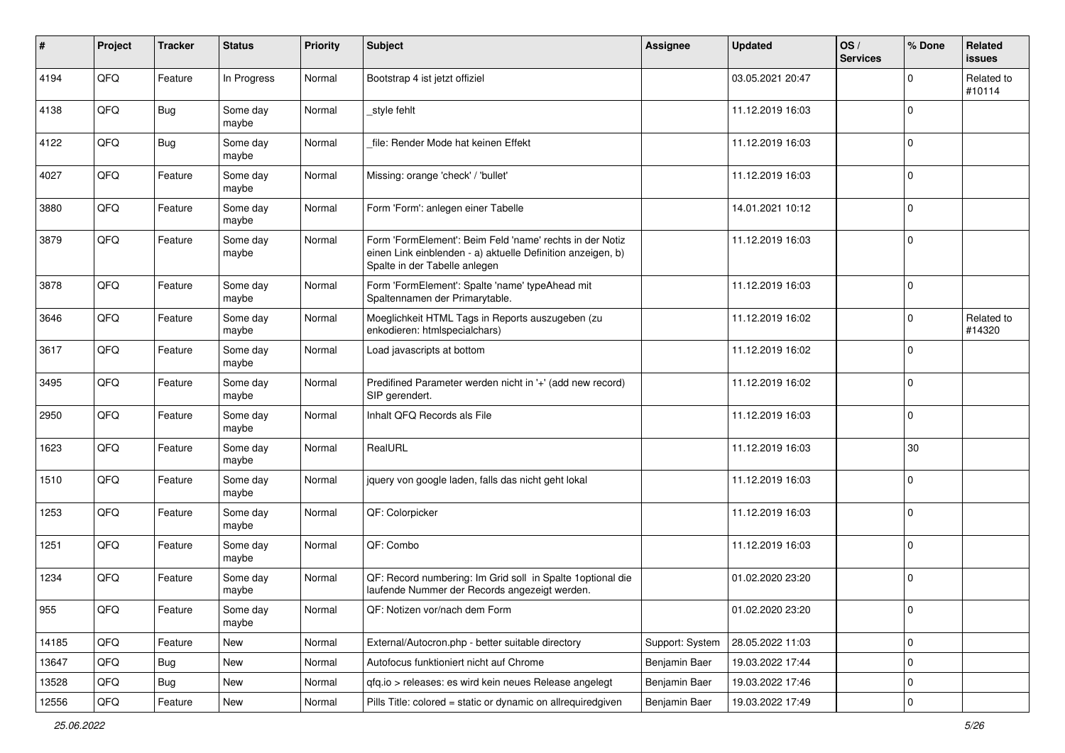| $\sharp$ | Project | <b>Tracker</b> | <b>Status</b>     | <b>Priority</b> | Subject                                                                                                                                                  | Assignee        | <b>Updated</b>   | OS/<br><b>Services</b> | % Done              | Related<br>issues    |
|----------|---------|----------------|-------------------|-----------------|----------------------------------------------------------------------------------------------------------------------------------------------------------|-----------------|------------------|------------------------|---------------------|----------------------|
| 4194     | QFQ     | Feature        | In Progress       | Normal          | Bootstrap 4 ist jetzt offiziel                                                                                                                           |                 | 03.05.2021 20:47 |                        | $\Omega$            | Related to<br>#10114 |
| 4138     | QFQ     | Bug            | Some day<br>maybe | Normal          | _style fehlt                                                                                                                                             |                 | 11.12.2019 16:03 |                        | $\mathbf 0$         |                      |
| 4122     | QFQ     | <b>Bug</b>     | Some day<br>maybe | Normal          | file: Render Mode hat keinen Effekt                                                                                                                      |                 | 11.12.2019 16:03 |                        | $\mathbf 0$         |                      |
| 4027     | QFQ     | Feature        | Some day<br>maybe | Normal          | Missing: orange 'check' / 'bullet'                                                                                                                       |                 | 11.12.2019 16:03 |                        | $\mathbf 0$         |                      |
| 3880     | QFQ     | Feature        | Some day<br>maybe | Normal          | Form 'Form': anlegen einer Tabelle                                                                                                                       |                 | 14.01.2021 10:12 |                        | $\mathbf 0$         |                      |
| 3879     | QFQ     | Feature        | Some day<br>maybe | Normal          | Form 'FormElement': Beim Feld 'name' rechts in der Notiz<br>einen Link einblenden - a) aktuelle Definition anzeigen, b)<br>Spalte in der Tabelle anlegen |                 | 11.12.2019 16:03 |                        | $\Omega$            |                      |
| 3878     | QFQ     | Feature        | Some day<br>maybe | Normal          | Form 'FormElement': Spalte 'name' typeAhead mit<br>Spaltennamen der Primarytable.                                                                        |                 | 11.12.2019 16:03 |                        | $\mathbf 0$         |                      |
| 3646     | QFQ     | Feature        | Some day<br>maybe | Normal          | Moeglichkeit HTML Tags in Reports auszugeben (zu<br>enkodieren: htmlspecialchars)                                                                        |                 | 11.12.2019 16:02 |                        | $\mathbf 0$         | Related to<br>#14320 |
| 3617     | QFQ     | Feature        | Some day<br>maybe | Normal          | Load javascripts at bottom                                                                                                                               |                 | 11.12.2019 16:02 |                        | $\mathbf 0$         |                      |
| 3495     | QFQ     | Feature        | Some day<br>maybe | Normal          | Predifined Parameter werden nicht in '+' (add new record)<br>SIP gerendert.                                                                              |                 | 11.12.2019 16:02 |                        | $\mathbf 0$         |                      |
| 2950     | QFQ     | Feature        | Some day<br>maybe | Normal          | Inhalt QFQ Records als File                                                                                                                              |                 | 11.12.2019 16:03 |                        | $\Omega$            |                      |
| 1623     | QFQ     | Feature        | Some day<br>maybe | Normal          | RealURL                                                                                                                                                  |                 | 11.12.2019 16:03 |                        | 30                  |                      |
| 1510     | QFQ     | Feature        | Some day<br>maybe | Normal          | jquery von google laden, falls das nicht geht lokal                                                                                                      |                 | 11.12.2019 16:03 |                        | $\Omega$            |                      |
| 1253     | QFQ     | Feature        | Some day<br>maybe | Normal          | QF: Colorpicker                                                                                                                                          |                 | 11.12.2019 16:03 |                        | $\mathbf{0}$        |                      |
| 1251     | QFQ     | Feature        | Some day<br>maybe | Normal          | QF: Combo                                                                                                                                                |                 | 11.12.2019 16:03 |                        | $\Omega$            |                      |
| 1234     | QFQ     | Feature        | Some day<br>maybe | Normal          | QF: Record numbering: Im Grid soll in Spalte 1optional die<br>laufende Nummer der Records angezeigt werden.                                              |                 | 01.02.2020 23:20 |                        | $\mathbf 0$         |                      |
| 955      | QFQ     | Feature        | Some day<br>maybe | Normal          | QF: Notizen vor/nach dem Form                                                                                                                            |                 | 01.02.2020 23:20 |                        | 0                   |                      |
| 14185    | QFQ     | Feature        | New               | Normal          | External/Autocron.php - better suitable directory                                                                                                        | Support: System | 28.05.2022 11:03 |                        | $\mathsf{O}\xspace$ |                      |
| 13647    | QFQ     | <b>Bug</b>     | New               | Normal          | Autofocus funktioniert nicht auf Chrome                                                                                                                  | Benjamin Baer   | 19.03.2022 17:44 |                        | $\mathbf 0$         |                      |
| 13528    | QFQ     | <b>Bug</b>     | New               | Normal          | qfq.io > releases: es wird kein neues Release angelegt                                                                                                   | Benjamin Baer   | 19.03.2022 17:46 |                        | $\mathbf 0$         |                      |
| 12556    | QFQ     | Feature        | New               | Normal          | Pills Title: colored = static or dynamic on allrequiredgiven                                                                                             | Benjamin Baer   | 19.03.2022 17:49 |                        | 0                   |                      |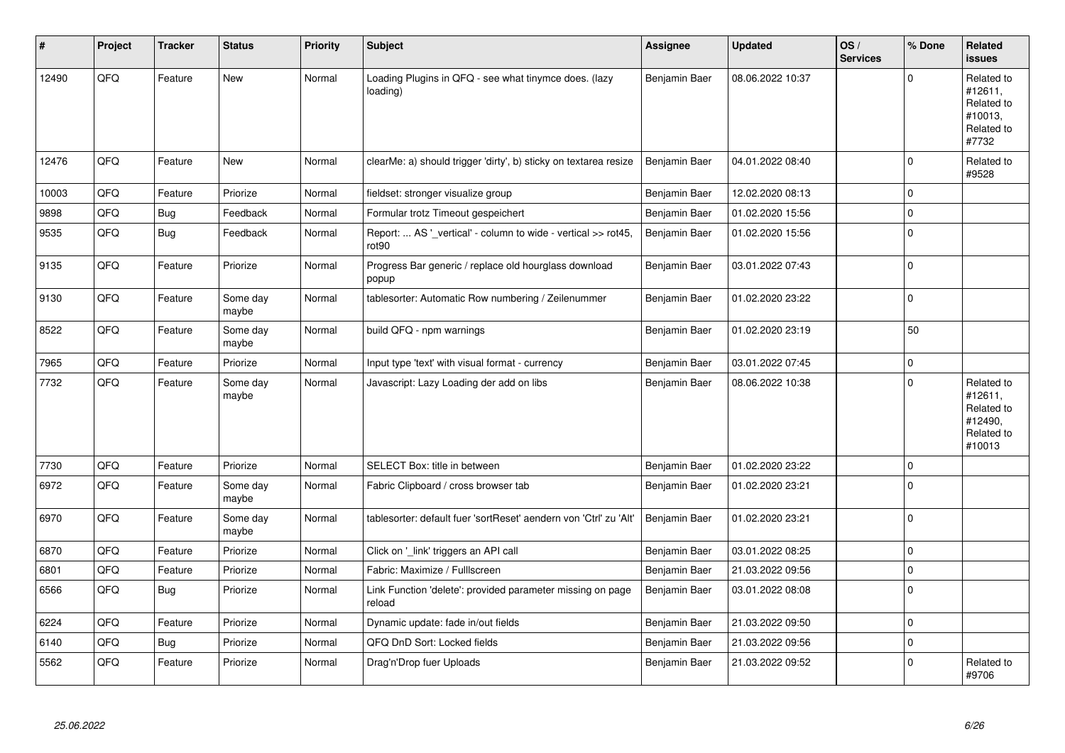| #     | Project | <b>Tracker</b> | <b>Status</b>     | <b>Priority</b> | Subject                                                                            | Assignee      | <b>Updated</b>   | OS/<br><b>Services</b> | % Done      | Related<br><b>issues</b>                                               |
|-------|---------|----------------|-------------------|-----------------|------------------------------------------------------------------------------------|---------------|------------------|------------------------|-------------|------------------------------------------------------------------------|
| 12490 | QFQ     | Feature        | <b>New</b>        | Normal          | Loading Plugins in QFQ - see what tinymce does. (lazy<br>loading)                  | Benjamin Baer | 08.06.2022 10:37 |                        | $\Omega$    | Related to<br>#12611,<br>Related to<br>#10013,<br>Related to<br>#7732  |
| 12476 | QFQ     | Feature        | <b>New</b>        | Normal          | clearMe: a) should trigger 'dirty', b) sticky on textarea resize                   | Benjamin Baer | 04.01.2022 08:40 |                        | $\mathbf 0$ | Related to<br>#9528                                                    |
| 10003 | QFQ     | Feature        | Priorize          | Normal          | fieldset: stronger visualize group                                                 | Benjamin Baer | 12.02.2020 08:13 |                        | $\mathbf 0$ |                                                                        |
| 9898  | QFQ     | <b>Bug</b>     | Feedback          | Normal          | Formular trotz Timeout gespeichert                                                 | Benjamin Baer | 01.02.2020 15:56 |                        | $\mathbf 0$ |                                                                        |
| 9535  | QFQ     | <b>Bug</b>     | Feedback          | Normal          | Report:  AS '_vertical' - column to wide - vertical >> rot45,<br>rot <sub>90</sub> | Benjamin Baer | 01.02.2020 15:56 |                        | $\mathbf 0$ |                                                                        |
| 9135  | QFQ     | Feature        | Priorize          | Normal          | Progress Bar generic / replace old hourglass download<br>popup                     | Benjamin Baer | 03.01.2022 07:43 |                        | $\mathbf 0$ |                                                                        |
| 9130  | QFQ     | Feature        | Some day<br>maybe | Normal          | tablesorter: Automatic Row numbering / Zeilenummer                                 | Benjamin Baer | 01.02.2020 23:22 |                        | $\mathbf 0$ |                                                                        |
| 8522  | QFQ     | Feature        | Some day<br>maybe | Normal          | build QFQ - npm warnings                                                           | Benjamin Baer | 01.02.2020 23:19 |                        | 50          |                                                                        |
| 7965  | QFQ     | Feature        | Priorize          | Normal          | Input type 'text' with visual format - currency                                    | Benjamin Baer | 03.01.2022 07:45 |                        | $\mathbf 0$ |                                                                        |
| 7732  | QFQ     | Feature        | Some day<br>maybe | Normal          | Javascript: Lazy Loading der add on libs                                           | Benjamin Baer | 08.06.2022 10:38 |                        | $\Omega$    | Related to<br>#12611,<br>Related to<br>#12490,<br>Related to<br>#10013 |
| 7730  | QFQ     | Feature        | Priorize          | Normal          | SELECT Box: title in between                                                       | Benjamin Baer | 01.02.2020 23:22 |                        | $\mathbf 0$ |                                                                        |
| 6972  | QFQ     | Feature        | Some day<br>maybe | Normal          | Fabric Clipboard / cross browser tab                                               | Benjamin Baer | 01.02.2020 23:21 |                        | $\mathbf 0$ |                                                                        |
| 6970  | QFQ     | Feature        | Some day<br>maybe | Normal          | tablesorter: default fuer 'sortReset' aendern von 'Ctrl' zu 'Alt'                  | Benjamin Baer | 01.02.2020 23:21 |                        | $\mathbf 0$ |                                                                        |
| 6870  | QFQ     | Feature        | Priorize          | Normal          | Click on '_link' triggers an API call                                              | Benjamin Baer | 03.01.2022 08:25 |                        | $\mathbf 0$ |                                                                        |
| 6801  | QFQ     | Feature        | Priorize          | Normal          | Fabric: Maximize / FullIscreen                                                     | Benjamin Baer | 21.03.2022 09:56 |                        | $\mathbf 0$ |                                                                        |
| 6566  | QFQ     | Bug            | Priorize          | Normal          | Link Function 'delete': provided parameter missing on page<br>reload               | Benjamin Baer | 03.01.2022 08:08 |                        | $\Omega$    |                                                                        |
| 6224  | QFQ     | Feature        | Priorize          | Normal          | Dynamic update: fade in/out fields                                                 | Benjamin Baer | 21.03.2022 09:50 |                        | $\mathbf 0$ |                                                                        |
| 6140  | QFQ     | <b>Bug</b>     | Priorize          | Normal          | QFQ DnD Sort: Locked fields                                                        | Benjamin Baer | 21.03.2022 09:56 |                        | $\Omega$    |                                                                        |
| 5562  | QFQ     | Feature        | Priorize          | Normal          | Drag'n'Drop fuer Uploads                                                           | Benjamin Baer | 21.03.2022 09:52 |                        | $\Omega$    | Related to<br>#9706                                                    |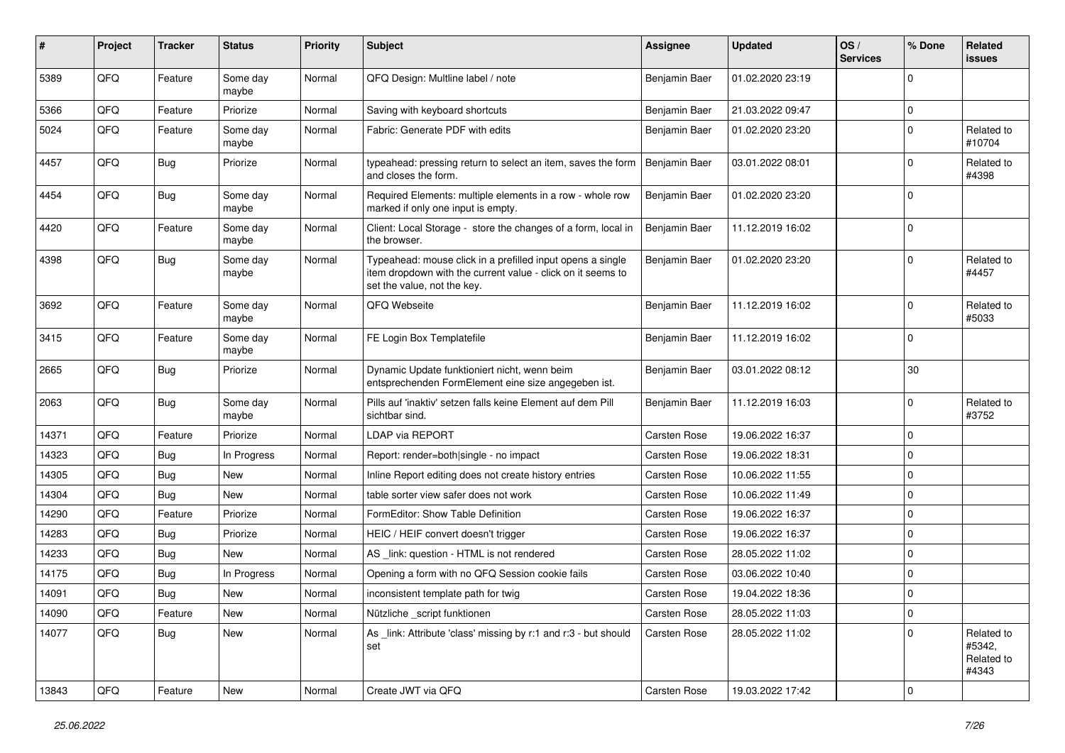| $\#$  | Project | <b>Tracker</b> | <b>Status</b>     | <b>Priority</b> | <b>Subject</b>                                                                                                                                           | <b>Assignee</b>     | <b>Updated</b>   | OS/<br><b>Services</b> | % Done      | Related<br>issues                           |
|-------|---------|----------------|-------------------|-----------------|----------------------------------------------------------------------------------------------------------------------------------------------------------|---------------------|------------------|------------------------|-------------|---------------------------------------------|
| 5389  | QFQ     | Feature        | Some day<br>maybe | Normal          | QFQ Design: Multline label / note                                                                                                                        | Benjamin Baer       | 01.02.2020 23:19 |                        | $\Omega$    |                                             |
| 5366  | QFQ     | Feature        | Priorize          | Normal          | Saving with keyboard shortcuts                                                                                                                           | Benjamin Baer       | 21.03.2022 09:47 |                        | 0           |                                             |
| 5024  | QFQ     | Feature        | Some day<br>maybe | Normal          | Fabric: Generate PDF with edits                                                                                                                          | Benjamin Baer       | 01.02.2020 23:20 |                        | $\mathbf 0$ | Related to<br>#10704                        |
| 4457  | QFQ     | Bug            | Priorize          | Normal          | typeahead: pressing return to select an item, saves the form<br>and closes the form.                                                                     | Benjamin Baer       | 03.01.2022 08:01 |                        | $\Omega$    | Related to<br>#4398                         |
| 4454  | QFQ     | <b>Bug</b>     | Some day<br>maybe | Normal          | Required Elements: multiple elements in a row - whole row<br>marked if only one input is empty.                                                          | Benjamin Baer       | 01.02.2020 23:20 |                        | $\mathbf 0$ |                                             |
| 4420  | QFQ     | Feature        | Some day<br>maybe | Normal          | Client: Local Storage - store the changes of a form, local in<br>the browser.                                                                            | Benjamin Baer       | 11.12.2019 16:02 |                        | $\mathbf 0$ |                                             |
| 4398  | QFQ     | <b>Bug</b>     | Some day<br>maybe | Normal          | Typeahead: mouse click in a prefilled input opens a single<br>item dropdown with the current value - click on it seems to<br>set the value, not the key. | Benjamin Baer       | 01.02.2020 23:20 |                        | $\mathbf 0$ | Related to<br>#4457                         |
| 3692  | QFQ     | Feature        | Some day<br>maybe | Normal          | QFQ Webseite                                                                                                                                             | Benjamin Baer       | 11.12.2019 16:02 |                        | $\mathbf 0$ | Related to<br>#5033                         |
| 3415  | QFQ     | Feature        | Some day<br>maybe | Normal          | FE Login Box Templatefile                                                                                                                                | Benjamin Baer       | 11.12.2019 16:02 |                        | 0           |                                             |
| 2665  | QFQ     | Bug            | Priorize          | Normal          | Dynamic Update funktioniert nicht, wenn beim<br>entsprechenden FormElement eine size angegeben ist.                                                      | Benjamin Baer       | 03.01.2022 08:12 |                        | 30          |                                             |
| 2063  | QFQ     | Bug            | Some day<br>maybe | Normal          | Pills auf 'inaktiv' setzen falls keine Element auf dem Pill<br>sichtbar sind.                                                                            | Benjamin Baer       | 11.12.2019 16:03 |                        | $\mathbf 0$ | Related to<br>#3752                         |
| 14371 | QFQ     | Feature        | Priorize          | Normal          | <b>LDAP via REPORT</b>                                                                                                                                   | Carsten Rose        | 19.06.2022 16:37 |                        | $\mathbf 0$ |                                             |
| 14323 | QFQ     | <b>Bug</b>     | In Progress       | Normal          | Report: render=both single - no impact                                                                                                                   | Carsten Rose        | 19.06.2022 18:31 |                        | 0           |                                             |
| 14305 | QFQ     | <b>Bug</b>     | <b>New</b>        | Normal          | Inline Report editing does not create history entries                                                                                                    | <b>Carsten Rose</b> | 10.06.2022 11:55 |                        | 0           |                                             |
| 14304 | QFQ     | Bug            | <b>New</b>        | Normal          | table sorter view safer does not work                                                                                                                    | Carsten Rose        | 10.06.2022 11:49 |                        | $\mathbf 0$ |                                             |
| 14290 | QFQ     | Feature        | Priorize          | Normal          | FormEditor: Show Table Definition                                                                                                                        | Carsten Rose        | 19.06.2022 16:37 |                        | $\Omega$    |                                             |
| 14283 | QFQ     | <b>Bug</b>     | Priorize          | Normal          | HEIC / HEIF convert doesn't trigger                                                                                                                      | <b>Carsten Rose</b> | 19.06.2022 16:37 |                        | $\Omega$    |                                             |
| 14233 | QFQ     | Bug            | <b>New</b>        | Normal          | AS link: question - HTML is not rendered                                                                                                                 | Carsten Rose        | 28.05.2022 11:02 |                        | 0           |                                             |
| 14175 | QFQ     | <b>Bug</b>     | In Progress       | Normal          | Opening a form with no QFQ Session cookie fails                                                                                                          | Carsten Rose        | 03.06.2022 10:40 |                        | $\mathbf 0$ |                                             |
| 14091 | QFQ     | <b>Bug</b>     | New               | Normal          | inconsistent template path for twig                                                                                                                      | Carsten Rose        | 19.04.2022 18:36 |                        | $\mathbf 0$ |                                             |
| 14090 | QFG     | Feature        | New               | Normal          | Nützliche script funktionen                                                                                                                              | Carsten Rose        | 28.05.2022 11:03 |                        | $\mathbf 0$ |                                             |
| 14077 | QFQ     | Bug            | New               | Normal          | As _link: Attribute 'class' missing by r:1 and r:3 - but should<br>set                                                                                   | Carsten Rose        | 28.05.2022 11:02 |                        | 0           | Related to<br>#5342,<br>Related to<br>#4343 |
| 13843 | QFG     | Feature        | New               | Normal          | Create JWT via QFQ                                                                                                                                       | Carsten Rose        | 19.03.2022 17:42 |                        | 0           |                                             |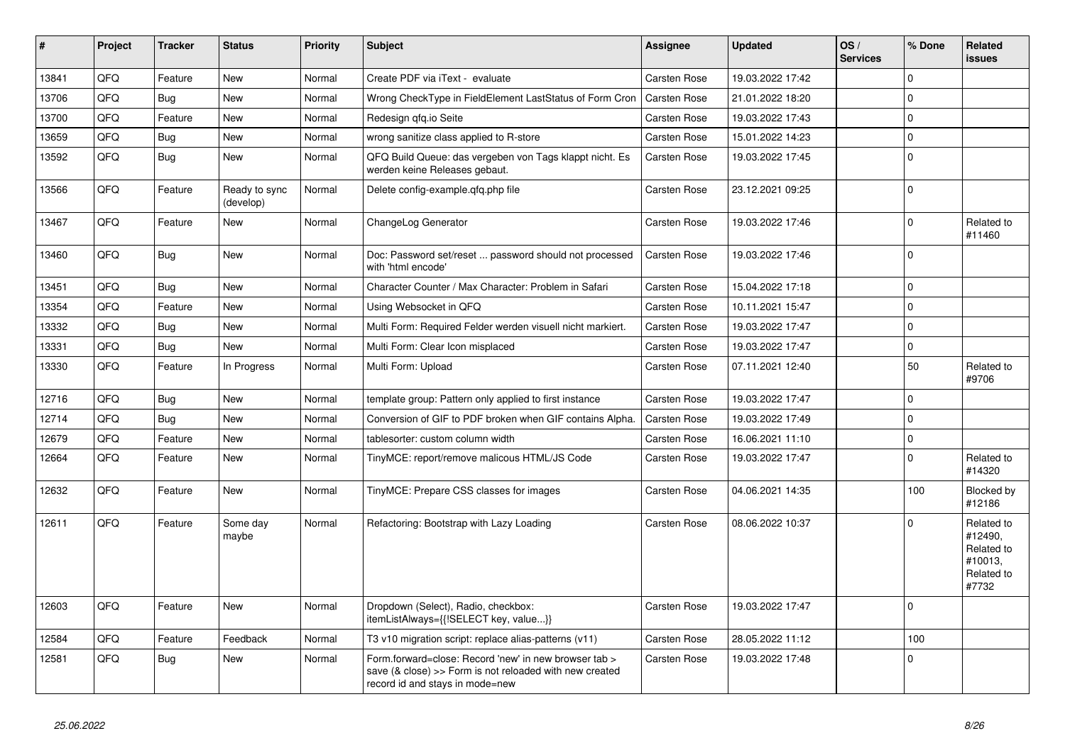| #     | Project | <b>Tracker</b> | <b>Status</b>              | <b>Priority</b> | <b>Subject</b>                                                                                                                                      | Assignee            | <b>Updated</b>   | OS/<br><b>Services</b> | % Done      | Related<br><b>issues</b>                                              |
|-------|---------|----------------|----------------------------|-----------------|-----------------------------------------------------------------------------------------------------------------------------------------------------|---------------------|------------------|------------------------|-------------|-----------------------------------------------------------------------|
| 13841 | QFQ     | Feature        | <b>New</b>                 | Normal          | Create PDF via iText - evaluate                                                                                                                     | Carsten Rose        | 19.03.2022 17:42 |                        | $\Omega$    |                                                                       |
| 13706 | QFQ     | Bug            | <b>New</b>                 | Normal          | Wrong CheckType in FieldElement LastStatus of Form Cron                                                                                             | <b>Carsten Rose</b> | 21.01.2022 18:20 |                        | $\Omega$    |                                                                       |
| 13700 | QFQ     | Feature        | New                        | Normal          | Redesign gfg.io Seite                                                                                                                               | Carsten Rose        | 19.03.2022 17:43 |                        | $\Omega$    |                                                                       |
| 13659 | QFQ     | Bug            | New                        | Normal          | wrong sanitize class applied to R-store                                                                                                             | Carsten Rose        | 15.01.2022 14:23 |                        | $\Omega$    |                                                                       |
| 13592 | QFQ     | Bug            | New                        | Normal          | QFQ Build Queue: das vergeben von Tags klappt nicht. Es<br>werden keine Releases gebaut.                                                            | <b>Carsten Rose</b> | 19.03.2022 17:45 |                        | $\Omega$    |                                                                       |
| 13566 | QFQ     | Feature        | Ready to sync<br>(develop) | Normal          | Delete config-example.gfg.php file                                                                                                                  | <b>Carsten Rose</b> | 23.12.2021 09:25 |                        | $\Omega$    |                                                                       |
| 13467 | QFQ     | Feature        | <b>New</b>                 | Normal          | ChangeLog Generator                                                                                                                                 | Carsten Rose        | 19.03.2022 17:46 |                        | $\mathbf 0$ | Related to<br>#11460                                                  |
| 13460 | QFQ     | Bug            | <b>New</b>                 | Normal          | Doc: Password set/reset  password should not processed<br>with 'html encode'                                                                        | <b>Carsten Rose</b> | 19.03.2022 17:46 |                        | $\Omega$    |                                                                       |
| 13451 | QFQ     | <b>Bug</b>     | New                        | Normal          | Character Counter / Max Character: Problem in Safari                                                                                                | <b>Carsten Rose</b> | 15.04.2022 17:18 |                        | $\Omega$    |                                                                       |
| 13354 | QFQ     | Feature        | <b>New</b>                 | Normal          | Using Websocket in QFQ                                                                                                                              | <b>Carsten Rose</b> | 10.11.2021 15:47 |                        | $\Omega$    |                                                                       |
| 13332 | QFQ     | Bug            | <b>New</b>                 | Normal          | Multi Form: Required Felder werden visuell nicht markiert.                                                                                          | Carsten Rose        | 19.03.2022 17:47 |                        | $\Omega$    |                                                                       |
| 13331 | QFQ     | Bug            | New                        | Normal          | Multi Form: Clear Icon misplaced                                                                                                                    | Carsten Rose        | 19.03.2022 17:47 |                        | $\mathbf 0$ |                                                                       |
| 13330 | QFQ     | Feature        | In Progress                | Normal          | Multi Form: Upload                                                                                                                                  | Carsten Rose        | 07.11.2021 12:40 |                        | 50          | Related to<br>#9706                                                   |
| 12716 | QFQ     | Bug            | <b>New</b>                 | Normal          | template group: Pattern only applied to first instance                                                                                              | Carsten Rose        | 19.03.2022 17:47 |                        | $\Omega$    |                                                                       |
| 12714 | QFQ     | Bug            | New                        | Normal          | Conversion of GIF to PDF broken when GIF contains Alpha.                                                                                            | Carsten Rose        | 19.03.2022 17:49 |                        | $\Omega$    |                                                                       |
| 12679 | QFQ     | Feature        | <b>New</b>                 | Normal          | tablesorter: custom column width                                                                                                                    | Carsten Rose        | 16.06.2021 11:10 |                        | $\Omega$    |                                                                       |
| 12664 | QFQ     | Feature        | <b>New</b>                 | Normal          | TinyMCE: report/remove malicous HTML/JS Code                                                                                                        | Carsten Rose        | 19.03.2022 17:47 |                        | $\Omega$    | Related to<br>#14320                                                  |
| 12632 | QFQ     | Feature        | <b>New</b>                 | Normal          | TinyMCE: Prepare CSS classes for images                                                                                                             | <b>Carsten Rose</b> | 04.06.2021 14:35 |                        | 100         | Blocked by<br>#12186                                                  |
| 12611 | QFQ     | Feature        | Some day<br>maybe          | Normal          | Refactoring: Bootstrap with Lazy Loading                                                                                                            | <b>Carsten Rose</b> | 08.06.2022 10:37 |                        | $\Omega$    | Related to<br>#12490,<br>Related to<br>#10013.<br>Related to<br>#7732 |
| 12603 | QFQ     | Feature        | <b>New</b>                 | Normal          | Dropdown (Select), Radio, checkbox:<br>itemListAlways={{!SELECT key, value}}                                                                        | <b>Carsten Rose</b> | 19.03.2022 17:47 |                        | $\Omega$    |                                                                       |
| 12584 | QFQ     | Feature        | Feedback                   | Normal          | T3 v10 migration script: replace alias-patterns (v11)                                                                                               | Carsten Rose        | 28.05.2022 11:12 |                        | 100         |                                                                       |
| 12581 | QFQ     | <b>Bug</b>     | New                        | Normal          | Form.forward=close: Record 'new' in new browser tab ><br>save (& close) >> Form is not reloaded with new created<br>record id and stays in mode=new | <b>Carsten Rose</b> | 19.03.2022 17:48 |                        | $\Omega$    |                                                                       |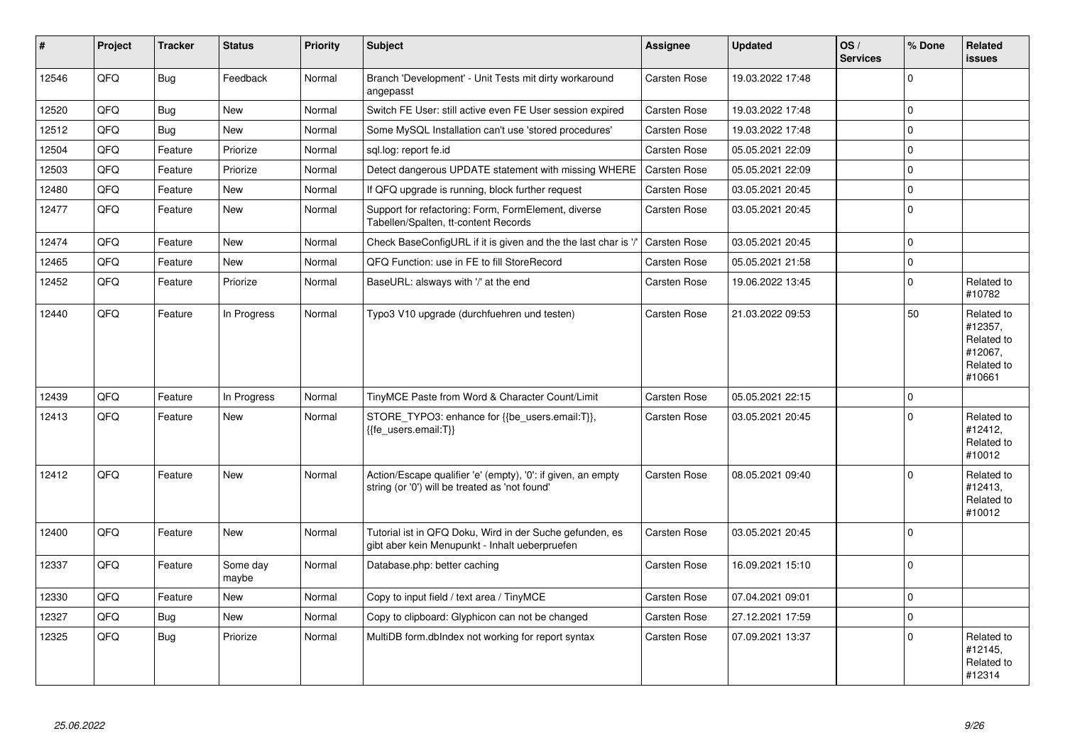| #     | Project | <b>Tracker</b> | <b>Status</b>     | <b>Priority</b> | <b>Subject</b>                                                                                                 | Assignee            | Updated          | OS/<br><b>Services</b> | % Done      | Related<br>issues                                                      |
|-------|---------|----------------|-------------------|-----------------|----------------------------------------------------------------------------------------------------------------|---------------------|------------------|------------------------|-------------|------------------------------------------------------------------------|
| 12546 | QFQ     | Bug            | Feedback          | Normal          | Branch 'Development' - Unit Tests mit dirty workaround<br>angepasst                                            | Carsten Rose        | 19.03.2022 17:48 |                        | $\Omega$    |                                                                        |
| 12520 | QFQ     | Bug            | New               | Normal          | Switch FE User: still active even FE User session expired                                                      | <b>Carsten Rose</b> | 19.03.2022 17:48 |                        | $\Omega$    |                                                                        |
| 12512 | QFQ     | <b>Bug</b>     | New               | Normal          | Some MySQL Installation can't use 'stored procedures'                                                          | <b>Carsten Rose</b> | 19.03.2022 17:48 |                        | $\Omega$    |                                                                        |
| 12504 | QFQ     | Feature        | Priorize          | Normal          | sql.log: report fe.id                                                                                          | Carsten Rose        | 05.05.2021 22:09 |                        | $\Omega$    |                                                                        |
| 12503 | QFQ     | Feature        | Priorize          | Normal          | Detect dangerous UPDATE statement with missing WHERE                                                           | Carsten Rose        | 05.05.2021 22:09 |                        | $\mathbf 0$ |                                                                        |
| 12480 | QFQ     | Feature        | New               | Normal          | If QFQ upgrade is running, block further request                                                               | <b>Carsten Rose</b> | 03.05.2021 20:45 |                        | $\Omega$    |                                                                        |
| 12477 | QFQ     | Feature        | <b>New</b>        | Normal          | Support for refactoring: Form, FormElement, diverse<br>Tabellen/Spalten, tt-content Records                    | <b>Carsten Rose</b> | 03.05.2021 20:45 |                        | $\Omega$    |                                                                        |
| 12474 | QFQ     | Feature        | New               | Normal          | Check BaseConfigURL if it is given and the the last char is '/                                                 | <b>Carsten Rose</b> | 03.05.2021 20:45 |                        | $\Omega$    |                                                                        |
| 12465 | QFQ     | Feature        | <b>New</b>        | Normal          | QFQ Function: use in FE to fill StoreRecord                                                                    | Carsten Rose        | 05.05.2021 21:58 |                        | $\Omega$    |                                                                        |
| 12452 | QFQ     | Feature        | Priorize          | Normal          | BaseURL: alsways with '/' at the end                                                                           | Carsten Rose        | 19.06.2022 13:45 |                        | $\Omega$    | Related to<br>#10782                                                   |
| 12440 | QFQ     | Feature        | In Progress       | Normal          | Typo3 V10 upgrade (durchfuehren und testen)                                                                    | <b>Carsten Rose</b> | 21.03.2022 09:53 |                        | 50          | Related to<br>#12357,<br>Related to<br>#12067.<br>Related to<br>#10661 |
| 12439 | QFQ     | Feature        | In Progress       | Normal          | TinyMCE Paste from Word & Character Count/Limit                                                                | <b>Carsten Rose</b> | 05.05.2021 22:15 |                        | $\Omega$    |                                                                        |
| 12413 | QFQ     | Feature        | <b>New</b>        | Normal          | STORE_TYPO3: enhance for {{be_users.email:T}},<br>{{fe users.email:T}}                                         | <b>Carsten Rose</b> | 03.05.2021 20:45 |                        | $\Omega$    | Related to<br>#12412,<br>Related to<br>#10012                          |
| 12412 | QFQ     | Feature        | <b>New</b>        | Normal          | Action/Escape qualifier 'e' (empty), '0': if given, an empty<br>string (or '0') will be treated as 'not found' | Carsten Rose        | 08.05.2021 09:40 |                        | $\Omega$    | Related to<br>#12413,<br>Related to<br>#10012                          |
| 12400 | QFQ     | Feature        | <b>New</b>        | Normal          | Tutorial ist in QFQ Doku, Wird in der Suche gefunden, es<br>gibt aber kein Menupunkt - Inhalt ueberpruefen     | <b>Carsten Rose</b> | 03.05.2021 20:45 |                        | $\Omega$    |                                                                        |
| 12337 | QFQ     | Feature        | Some day<br>maybe | Normal          | Database.php: better caching                                                                                   | Carsten Rose        | 16.09.2021 15:10 |                        | $\Omega$    |                                                                        |
| 12330 | QFQ     | Feature        | <b>New</b>        | Normal          | Copy to input field / text area / TinyMCE                                                                      | <b>Carsten Rose</b> | 07.04.2021 09:01 |                        | $\Omega$    |                                                                        |
| 12327 | QFQ     | Bug            | <b>New</b>        | Normal          | Copy to clipboard: Glyphicon can not be changed                                                                | Carsten Rose        | 27.12.2021 17:59 |                        | $\Omega$    |                                                                        |
| 12325 | QFQ     | <b>Bug</b>     | Priorize          | Normal          | MultiDB form.dblndex not working for report syntax                                                             | <b>Carsten Rose</b> | 07.09.2021 13:37 |                        | $\Omega$    | Related to<br>#12145.<br>Related to<br>#12314                          |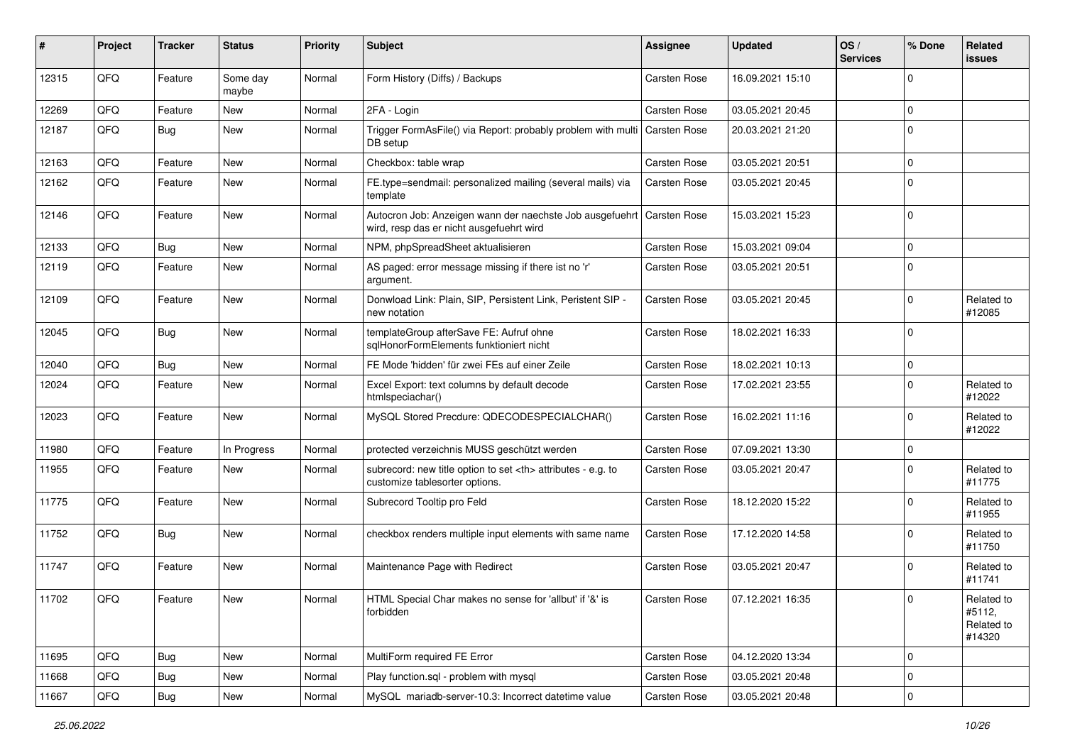| #     | Project | <b>Tracker</b> | <b>Status</b>     | <b>Priority</b> | <b>Subject</b>                                                                                                      | <b>Assignee</b>                                        | <b>Updated</b>      | OS/<br><b>Services</b> | % Done         | Related<br>issues                            |                      |
|-------|---------|----------------|-------------------|-----------------|---------------------------------------------------------------------------------------------------------------------|--------------------------------------------------------|---------------------|------------------------|----------------|----------------------------------------------|----------------------|
| 12315 | QFQ     | Feature        | Some day<br>maybe | Normal          | Form History (Diffs) / Backups                                                                                      | <b>Carsten Rose</b>                                    | 16.09.2021 15:10    |                        | $\Omega$       |                                              |                      |
| 12269 | QFQ     | Feature        | New               | Normal          | 2FA - Login                                                                                                         | <b>Carsten Rose</b>                                    | 03.05.2021 20:45    |                        | 0              |                                              |                      |
| 12187 | QFQ     | <b>Bug</b>     | New               | Normal          | Trigger FormAsFile() via Report: probably problem with multi<br>DB setup                                            | Carsten Rose                                           | 20.03.2021 21:20    |                        | $\Omega$       |                                              |                      |
| 12163 | QFQ     | Feature        | New               | Normal          | Checkbox: table wrap                                                                                                | <b>Carsten Rose</b>                                    | 03.05.2021 20:51    |                        | $\Omega$       |                                              |                      |
| 12162 | QFQ     | Feature        | New               | Normal          | FE.type=sendmail: personalized mailing (several mails) via<br>template                                              | <b>Carsten Rose</b>                                    | 03.05.2021 20:45    |                        | $\Omega$       |                                              |                      |
| 12146 | QFQ     | Feature        | New               | Normal          | Autocron Job: Anzeigen wann der naechste Job ausgefuehrt   Carsten Rose<br>wird, resp das er nicht ausgefuehrt wird |                                                        | 15.03.2021 15:23    |                        | 0              |                                              |                      |
| 12133 | QFQ     | Bug            | New               | Normal          | NPM, phpSpreadSheet aktualisieren                                                                                   | <b>Carsten Rose</b>                                    | 15.03.2021 09:04    |                        | $\Omega$       |                                              |                      |
| 12119 | QFQ     | Feature        | New               | Normal          | AS paged: error message missing if there ist no 'r'<br>argument.                                                    | <b>Carsten Rose</b>                                    | 03.05.2021 20:51    |                        | $\Omega$       |                                              |                      |
| 12109 | QFQ     | Feature        | New               | Normal          | Donwload Link: Plain, SIP, Persistent Link, Peristent SIP -<br>new notation                                         | <b>Carsten Rose</b>                                    | 03.05.2021 20:45    |                        | $\Omega$       | Related to<br>#12085                         |                      |
| 12045 | QFQ     | Bug            | New               | Normal          | templateGroup afterSave FE: Aufruf ohne<br>sqlHonorFormElements funktioniert nicht                                  | <b>Carsten Rose</b>                                    | 18.02.2021 16:33    |                        | $\Omega$       |                                              |                      |
| 12040 | QFQ     | Bug            | <b>New</b>        | Normal          | FE Mode 'hidden' für zwei FEs auf einer Zeile                                                                       | <b>Carsten Rose</b>                                    | 18.02.2021 10:13    |                        | $\mathbf 0$    |                                              |                      |
| 12024 | QFQ     | Feature        | New               | Normal          | Excel Export: text columns by default decode<br>htmlspeciachar()                                                    | <b>Carsten Rose</b>                                    | 17.02.2021 23:55    |                        | $\Omega$       | Related to<br>#12022                         |                      |
| 12023 | QFQ     | Feature        | New               | Normal          | MySQL Stored Precdure: QDECODESPECIALCHAR()                                                                         | <b>Carsten Rose</b>                                    | 16.02.2021 11:16    |                        | $\mathbf 0$    | Related to<br>#12022                         |                      |
| 11980 | QFQ     | Feature        | In Progress       | Normal          | protected verzeichnis MUSS geschützt werden                                                                         | <b>Carsten Rose</b>                                    | 07.09.2021 13:30    |                        | $\mathbf 0$    |                                              |                      |
| 11955 | QFQ     | Feature        | New               | Normal          | subrecord: new title option to set <th> attributes - e.g. to<br/>customize tablesorter options.</th>                | attributes - e.g. to<br>customize tablesorter options. | <b>Carsten Rose</b> | 03.05.2021 20:47       |                | $\Omega$                                     | Related to<br>#11775 |
| 11775 | QFQ     | Feature        | New               | Normal          | Subrecord Tooltip pro Feld                                                                                          | <b>Carsten Rose</b>                                    | 18.12.2020 15:22    |                        | $\Omega$       | Related to<br>#11955                         |                      |
| 11752 | QFQ     | Bug            | <b>New</b>        | Normal          | checkbox renders multiple input elements with same name                                                             | <b>Carsten Rose</b>                                    | 17.12.2020 14:58    |                        | $\mathbf 0$    | Related to<br>#11750                         |                      |
| 11747 | QFQ     | Feature        | <b>New</b>        | Normal          | Maintenance Page with Redirect                                                                                      | <b>Carsten Rose</b>                                    | 03.05.2021 20:47    |                        | $\Omega$       | Related to<br>#11741                         |                      |
| 11702 | QFQ     | Feature        | New               | Normal          | HTML Special Char makes no sense for 'allbut' if '&' is<br>forbidden                                                | Carsten Rose                                           | 07.12.2021 16:35    |                        | $\overline{0}$ | Related to<br>#5112,<br>Related to<br>#14320 |                      |
| 11695 | QFQ     | <b>Bug</b>     | New               | Normal          | MultiForm required FE Error                                                                                         | Carsten Rose                                           | 04.12.2020 13:34    |                        | 0              |                                              |                      |
| 11668 | QFG     | <b>Bug</b>     | New               | Normal          | Play function.sql - problem with mysql                                                                              | Carsten Rose                                           | 03.05.2021 20:48    |                        | $\mathbf 0$    |                                              |                      |
| 11667 | QFQ     | <b>Bug</b>     | New               | Normal          | MySQL mariadb-server-10.3: Incorrect datetime value                                                                 | Carsten Rose                                           | 03.05.2021 20:48    |                        | 0              |                                              |                      |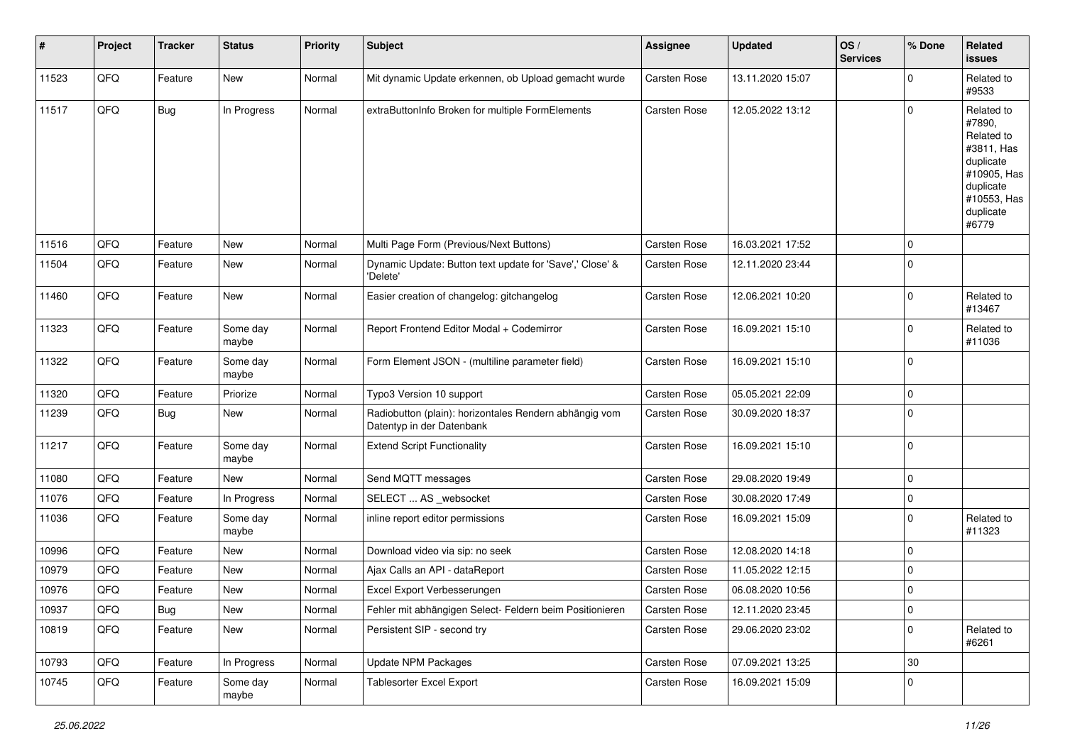| #     | Project | <b>Tracker</b> | <b>Status</b>     | Priority | <b>Subject</b>                                                                      | <b>Assignee</b>     | <b>Updated</b>   | OS/<br><b>Services</b> | % Done      | <b>Related</b><br>issues                                                                                                       |
|-------|---------|----------------|-------------------|----------|-------------------------------------------------------------------------------------|---------------------|------------------|------------------------|-------------|--------------------------------------------------------------------------------------------------------------------------------|
| 11523 | QFQ     | Feature        | New               | Normal   | Mit dynamic Update erkennen, ob Upload gemacht wurde                                | Carsten Rose        | 13.11.2020 15:07 |                        | $\mathbf 0$ | Related to<br>#9533                                                                                                            |
| 11517 | QFQ     | <b>Bug</b>     | In Progress       | Normal   | extraButtonInfo Broken for multiple FormElements                                    | Carsten Rose        | 12.05.2022 13:12 |                        | $\Omega$    | Related to<br>#7890,<br>Related to<br>#3811, Has<br>duplicate<br>#10905, Has<br>duplicate<br>#10553, Has<br>duplicate<br>#6779 |
| 11516 | QFQ     | Feature        | New               | Normal   | Multi Page Form (Previous/Next Buttons)                                             | <b>Carsten Rose</b> | 16.03.2021 17:52 |                        | $\mathbf 0$ |                                                                                                                                |
| 11504 | QFQ     | Feature        | New               | Normal   | Dynamic Update: Button text update for 'Save',' Close' &<br>'Delete'                | Carsten Rose        | 12.11.2020 23:44 |                        | $\Omega$    |                                                                                                                                |
| 11460 | QFQ     | Feature        | New               | Normal   | Easier creation of changelog: gitchangelog                                          | Carsten Rose        | 12.06.2021 10:20 |                        | 0           | Related to<br>#13467                                                                                                           |
| 11323 | QFQ     | Feature        | Some day<br>maybe | Normal   | Report Frontend Editor Modal + Codemirror                                           | Carsten Rose        | 16.09.2021 15:10 |                        | $\mathbf 0$ | Related to<br>#11036                                                                                                           |
| 11322 | QFQ     | Feature        | Some day<br>maybe | Normal   | Form Element JSON - (multiline parameter field)                                     | Carsten Rose        | 16.09.2021 15:10 |                        | $\Omega$    |                                                                                                                                |
| 11320 | QFQ     | Feature        | Priorize          | Normal   | Typo3 Version 10 support                                                            | Carsten Rose        | 05.05.2021 22:09 |                        | $\mathbf 0$ |                                                                                                                                |
| 11239 | QFQ     | <b>Bug</b>     | New               | Normal   | Radiobutton (plain): horizontales Rendern abhängig vom<br>Datentyp in der Datenbank | Carsten Rose        | 30.09.2020 18:37 |                        | $\mathbf 0$ |                                                                                                                                |
| 11217 | QFQ     | Feature        | Some day<br>maybe | Normal   | <b>Extend Script Functionality</b>                                                  | Carsten Rose        | 16.09.2021 15:10 |                        | $\Omega$    |                                                                                                                                |
| 11080 | QFQ     | Feature        | New               | Normal   | Send MQTT messages                                                                  | Carsten Rose        | 29.08.2020 19:49 |                        | $\mathbf 0$ |                                                                                                                                |
| 11076 | QFQ     | Feature        | In Progress       | Normal   | SELECT  AS _websocket                                                               | Carsten Rose        | 30.08.2020 17:49 |                        | $\mathbf 0$ |                                                                                                                                |
| 11036 | QFQ     | Feature        | Some day<br>maybe | Normal   | inline report editor permissions                                                    | Carsten Rose        | 16.09.2021 15:09 |                        | $\Omega$    | Related to<br>#11323                                                                                                           |
| 10996 | QFQ     | Feature        | New               | Normal   | Download video via sip: no seek                                                     | Carsten Rose        | 12.08.2020 14:18 |                        | $\mathbf 0$ |                                                                                                                                |
| 10979 | QFQ     | Feature        | New               | Normal   | Ajax Calls an API - dataReport                                                      | Carsten Rose        | 11.05.2022 12:15 |                        | $\mathbf 0$ |                                                                                                                                |
| 10976 | QFQ     | Feature        | New               | Normal   | Excel Export Verbesserungen                                                         | Carsten Rose        | 06.08.2020 10:56 |                        | $\Omega$    |                                                                                                                                |
| 10937 | QFQ     | <b>Bug</b>     | New               | Normal   | Fehler mit abhängigen Select- Feldern beim Positionieren                            | Carsten Rose        | 12.11.2020 23:45 |                        | $\mathbf 0$ |                                                                                                                                |
| 10819 | QFQ     | Feature        | New               | Normal   | Persistent SIP - second try                                                         | Carsten Rose        | 29.06.2020 23:02 |                        | $\mathbf 0$ | Related to<br>#6261                                                                                                            |
| 10793 | QFQ     | Feature        | In Progress       | Normal   | <b>Update NPM Packages</b>                                                          | Carsten Rose        | 07.09.2021 13:25 |                        | 30          |                                                                                                                                |
| 10745 | QFQ     | Feature        | Some day<br>maybe | Normal   | <b>Tablesorter Excel Export</b>                                                     | Carsten Rose        | 16.09.2021 15:09 |                        | 0           |                                                                                                                                |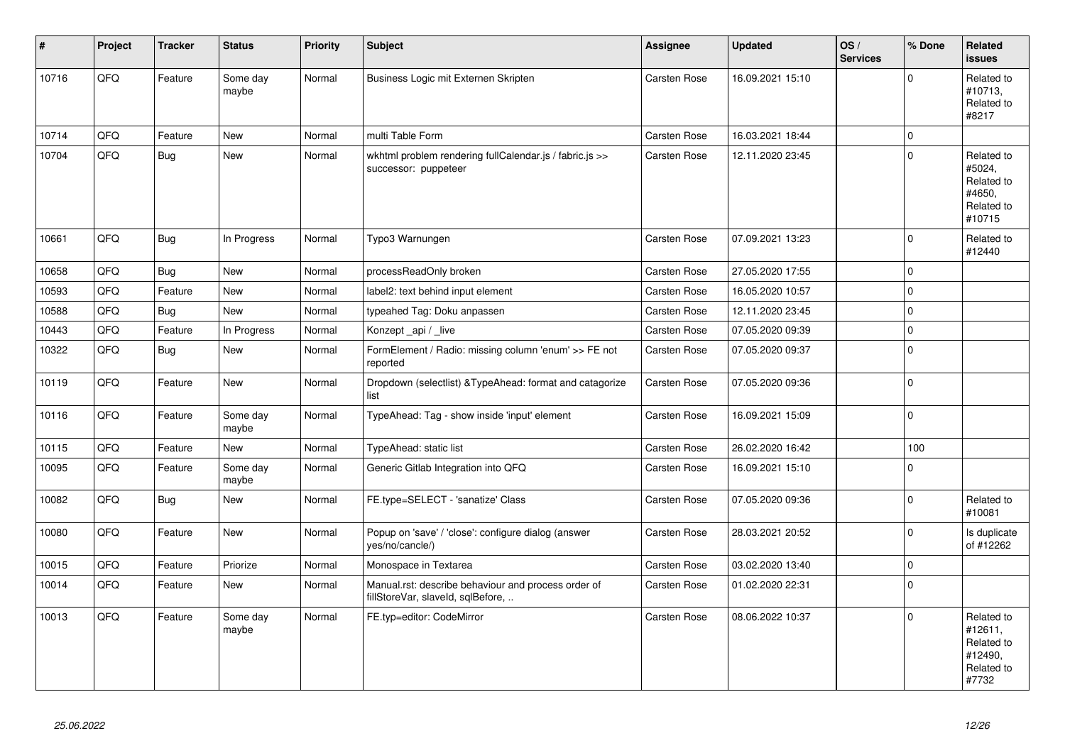| $\vert$ # | Project | <b>Tracker</b> | <b>Status</b>     | <b>Priority</b> | <b>Subject</b>                                                                           | <b>Assignee</b> | <b>Updated</b>   | OS/<br><b>Services</b> | % Done      | Related<br><b>issues</b>                                              |
|-----------|---------|----------------|-------------------|-----------------|------------------------------------------------------------------------------------------|-----------------|------------------|------------------------|-------------|-----------------------------------------------------------------------|
| 10716     | QFQ     | Feature        | Some day<br>maybe | Normal          | Business Logic mit Externen Skripten                                                     | Carsten Rose    | 16.09.2021 15:10 |                        | $\mathbf 0$ | Related to<br>#10713,<br>Related to<br>#8217                          |
| 10714     | QFQ     | Feature        | New               | Normal          | multi Table Form                                                                         | Carsten Rose    | 16.03.2021 18:44 |                        | $\mathbf 0$ |                                                                       |
| 10704     | QFQ     | <b>Bug</b>     | New               | Normal          | wkhtml problem rendering fullCalendar.js / fabric.js >><br>successor: puppeteer          | Carsten Rose    | 12.11.2020 23:45 |                        | $\Omega$    | Related to<br>#5024,<br>Related to<br>#4650.<br>Related to<br>#10715  |
| 10661     | QFQ     | <b>Bug</b>     | In Progress       | Normal          | Typo3 Warnungen                                                                          | Carsten Rose    | 07.09.2021 13:23 |                        | $\Omega$    | Related to<br>#12440                                                  |
| 10658     | QFQ     | <b>Bug</b>     | <b>New</b>        | Normal          | processReadOnly broken                                                                   | Carsten Rose    | 27.05.2020 17:55 |                        | $\mathbf 0$ |                                                                       |
| 10593     | QFQ     | Feature        | New               | Normal          | label2: text behind input element                                                        | Carsten Rose    | 16.05.2020 10:57 |                        | $\mathbf 0$ |                                                                       |
| 10588     | QFQ     | <b>Bug</b>     | <b>New</b>        | Normal          | typeahed Tag: Doku anpassen                                                              | Carsten Rose    | 12.11.2020 23:45 |                        | $\mathbf 0$ |                                                                       |
| 10443     | QFQ     | Feature        | In Progress       | Normal          | Konzept_api / _live                                                                      | Carsten Rose    | 07.05.2020 09:39 |                        | $\mathbf 0$ |                                                                       |
| 10322     | QFQ     | Bug            | <b>New</b>        | Normal          | FormElement / Radio: missing column 'enum' >> FE not<br>reported                         | Carsten Rose    | 07.05.2020 09:37 |                        | $\mathbf 0$ |                                                                       |
| 10119     | QFQ     | Feature        | New               | Normal          | Dropdown (selectlist) & TypeAhead: format and catagorize<br>list                         | Carsten Rose    | 07.05.2020 09:36 |                        | $\mathbf 0$ |                                                                       |
| 10116     | QFQ     | Feature        | Some day<br>maybe | Normal          | TypeAhead: Tag - show inside 'input' element                                             | Carsten Rose    | 16.09.2021 15:09 |                        | $\mathbf 0$ |                                                                       |
| 10115     | QFQ     | Feature        | New               | Normal          | TypeAhead: static list                                                                   | Carsten Rose    | 26.02.2020 16:42 |                        | 100         |                                                                       |
| 10095     | QFQ     | Feature        | Some day<br>maybe | Normal          | Generic Gitlab Integration into QFQ                                                      | Carsten Rose    | 16.09.2021 15:10 |                        | $\mathbf 0$ |                                                                       |
| 10082     | QFQ     | Bug            | New               | Normal          | FE.type=SELECT - 'sanatize' Class                                                        | Carsten Rose    | 07.05.2020 09:36 |                        | $\Omega$    | Related to<br>#10081                                                  |
| 10080     | QFQ     | Feature        | New               | Normal          | Popup on 'save' / 'close': configure dialog (answer<br>yes/no/cancle/)                   | Carsten Rose    | 28.03.2021 20:52 |                        | $\mathbf 0$ | Is duplicate<br>of #12262                                             |
| 10015     | QFQ     | Feature        | Priorize          | Normal          | Monospace in Textarea                                                                    | Carsten Rose    | 03.02.2020 13:40 |                        | $\mathbf 0$ |                                                                       |
| 10014     | QFQ     | Feature        | <b>New</b>        | Normal          | Manual.rst: describe behaviour and process order of<br>fillStoreVar, slaveId, sqlBefore, | Carsten Rose    | 01.02.2020 22:31 |                        | $\Omega$    |                                                                       |
| 10013     | QFQ     | Feature        | Some day<br>maybe | Normal          | FE.typ=editor: CodeMirror                                                                | Carsten Rose    | 08.06.2022 10:37 |                        | $\Omega$    | Related to<br>#12611,<br>Related to<br>#12490,<br>Related to<br>#7732 |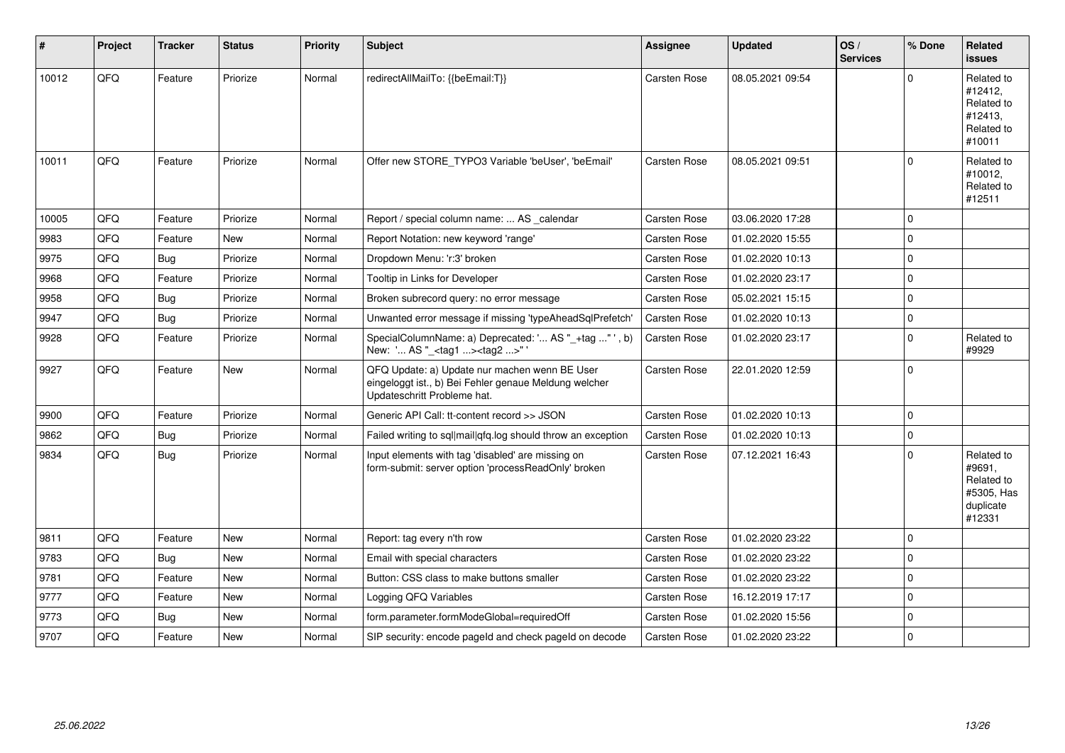| #     | Project | <b>Tracker</b> | <b>Status</b> | <b>Priority</b> | Subject                                                                                                                               | Assignee            | <b>Updated</b>   | OS/<br><b>Services</b> | % Done      | Related<br><b>issues</b>                                                |
|-------|---------|----------------|---------------|-----------------|---------------------------------------------------------------------------------------------------------------------------------------|---------------------|------------------|------------------------|-------------|-------------------------------------------------------------------------|
| 10012 | QFQ     | Feature        | Priorize      | Normal          | redirectAllMailTo: {{beEmail:T}}                                                                                                      | Carsten Rose        | 08.05.2021 09:54 |                        | U           | Related to<br>#12412,<br>Related to<br>#12413,<br>Related to<br>#10011  |
| 10011 | QFQ     | Feature        | Priorize      | Normal          | Offer new STORE_TYPO3 Variable 'beUser', 'beEmail'                                                                                    | Carsten Rose        | 08.05.2021 09:51 |                        | $\Omega$    | Related to<br>#10012,<br>Related to<br>#12511                           |
| 10005 | QFQ     | Feature        | Priorize      | Normal          | Report / special column name:  AS _calendar                                                                                           | Carsten Rose        | 03.06.2020 17:28 |                        | $\mathbf 0$ |                                                                         |
| 9983  | QFQ     | Feature        | <b>New</b>    | Normal          | Report Notation: new keyword 'range'                                                                                                  | Carsten Rose        | 01.02.2020 15:55 |                        | $\Omega$    |                                                                         |
| 9975  | QFQ     | Bug            | Priorize      | Normal          | Dropdown Menu: 'r:3' broken                                                                                                           | <b>Carsten Rose</b> | 01.02.2020 10:13 |                        | $\Omega$    |                                                                         |
| 9968  | QFQ     | Feature        | Priorize      | Normal          | Tooltip in Links for Developer                                                                                                        | <b>Carsten Rose</b> | 01.02.2020 23:17 |                        | $\Omega$    |                                                                         |
| 9958  | QFQ     | <b>Bug</b>     | Priorize      | Normal          | Broken subrecord query: no error message                                                                                              | Carsten Rose        | 05.02.2021 15:15 |                        | $\Omega$    |                                                                         |
| 9947  | QFQ     | <b>Bug</b>     | Priorize      | Normal          | Unwanted error message if missing 'typeAheadSqlPrefetch'                                                                              | <b>Carsten Rose</b> | 01.02.2020 10:13 |                        | $\Omega$    |                                                                         |
| 9928  | QFQ     | Feature        | Priorize      | Normal          | SpecialColumnName: a) Deprecated: ' AS "_+tag " ', b)<br>New: ' AS "_ <tag1><tag2>"</tag2></tag1>                                     | Carsten Rose        | 01.02.2020 23:17 |                        | $\Omega$    | Related to<br>#9929                                                     |
| 9927  | QFQ     | Feature        | New           | Normal          | QFQ Update: a) Update nur machen wenn BE User<br>eingeloggt ist., b) Bei Fehler genaue Meldung welcher<br>Updateschritt Probleme hat. | Carsten Rose        | 22.01.2020 12:59 |                        | $\Omega$    |                                                                         |
| 9900  | QFQ     | Feature        | Priorize      | Normal          | Generic API Call: tt-content record >> JSON                                                                                           | Carsten Rose        | 01.02.2020 10:13 |                        | $\mathbf 0$ |                                                                         |
| 9862  | QFQ     | <b>Bug</b>     | Priorize      | Normal          | Failed writing to sql mail qfq.log should throw an exception                                                                          | <b>Carsten Rose</b> | 01.02.2020 10:13 |                        | $\Omega$    |                                                                         |
| 9834  | QFQ     | <b>Bug</b>     | Priorize      | Normal          | Input elements with tag 'disabled' are missing on<br>form-submit: server option 'processReadOnly' broken                              | <b>Carsten Rose</b> | 07.12.2021 16:43 |                        | $\Omega$    | Related to<br>#9691,<br>Related to<br>#5305, Has<br>duplicate<br>#12331 |
| 9811  | QFQ     | Feature        | New           | Normal          | Report: tag every n'th row                                                                                                            | Carsten Rose        | 01.02.2020 23:22 |                        | $\Omega$    |                                                                         |
| 9783  | QFQ     | Bug            | <b>New</b>    | Normal          | Email with special characters                                                                                                         | <b>Carsten Rose</b> | 01.02.2020 23:22 |                        | $\Omega$    |                                                                         |
| 9781  | QFQ     | Feature        | New           | Normal          | Button: CSS class to make buttons smaller                                                                                             | Carsten Rose        | 01.02.2020 23:22 |                        | $\Omega$    |                                                                         |
| 9777  | QFQ     | Feature        | <b>New</b>    | Normal          | Logging QFQ Variables                                                                                                                 | <b>Carsten Rose</b> | 16.12.2019 17:17 |                        | $\Omega$    |                                                                         |
| 9773  | QFQ     | Bug            | <b>New</b>    | Normal          | form.parameter.formModeGlobal=requiredOff                                                                                             | Carsten Rose        | 01.02.2020 15:56 |                        | $\Omega$    |                                                                         |
| 9707  | QFQ     | Feature        | <b>New</b>    | Normal          | SIP security: encode pageld and check pageld on decode                                                                                | <b>Carsten Rose</b> | 01.02.2020 23:22 |                        | $\Omega$    |                                                                         |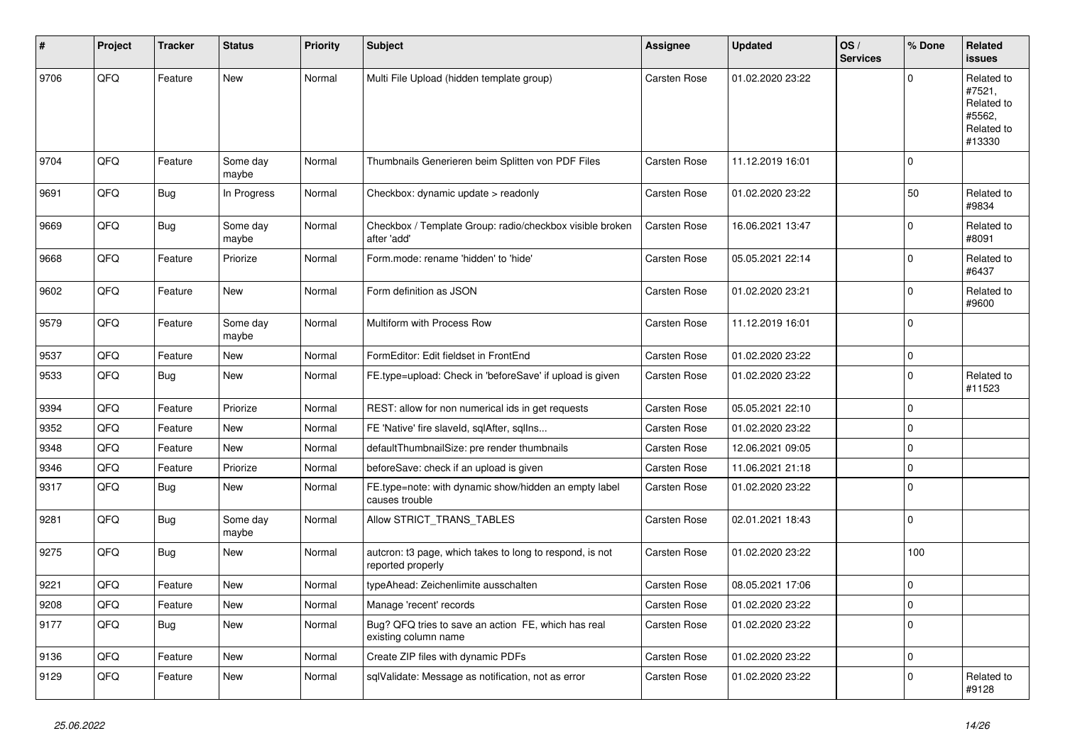| #    | Project | <b>Tracker</b> | <b>Status</b>     | <b>Priority</b> | Subject                                                                       | <b>Assignee</b> | <b>Updated</b>   | OS/<br><b>Services</b> | % Done      | Related<br>issues                                                    |
|------|---------|----------------|-------------------|-----------------|-------------------------------------------------------------------------------|-----------------|------------------|------------------------|-------------|----------------------------------------------------------------------|
| 9706 | QFQ     | Feature        | <b>New</b>        | Normal          | Multi File Upload (hidden template group)                                     | Carsten Rose    | 01.02.2020 23:22 |                        | $\Omega$    | Related to<br>#7521,<br>Related to<br>#5562,<br>Related to<br>#13330 |
| 9704 | QFQ     | Feature        | Some day<br>maybe | Normal          | Thumbnails Generieren beim Splitten von PDF Files                             | Carsten Rose    | 11.12.2019 16:01 |                        | $\mathbf 0$ |                                                                      |
| 9691 | QFQ     | Bug            | In Progress       | Normal          | Checkbox: dynamic update > readonly                                           | Carsten Rose    | 01.02.2020 23:22 |                        | 50          | Related to<br>#9834                                                  |
| 9669 | QFQ     | <b>Bug</b>     | Some day<br>maybe | Normal          | Checkbox / Template Group: radio/checkbox visible broken<br>after 'add'       | Carsten Rose    | 16.06.2021 13:47 |                        | $\mathbf 0$ | Related to<br>#8091                                                  |
| 9668 | QFQ     | Feature        | Priorize          | Normal          | Form.mode: rename 'hidden' to 'hide'                                          | Carsten Rose    | 05.05.2021 22:14 |                        | $\mathbf 0$ | Related to<br>#6437                                                  |
| 9602 | QFQ     | Feature        | New               | Normal          | Form definition as JSON                                                       | Carsten Rose    | 01.02.2020 23:21 |                        | $\mathbf 0$ | Related to<br>#9600                                                  |
| 9579 | QFQ     | Feature        | Some day<br>maybe | Normal          | Multiform with Process Row                                                    | Carsten Rose    | 11.12.2019 16:01 |                        | $\Omega$    |                                                                      |
| 9537 | QFQ     | Feature        | <b>New</b>        | Normal          | FormEditor: Edit fieldset in FrontEnd                                         | Carsten Rose    | 01.02.2020 23:22 |                        | $\mathbf 0$ |                                                                      |
| 9533 | QFQ     | <b>Bug</b>     | New               | Normal          | FE.type=upload: Check in 'beforeSave' if upload is given                      | Carsten Rose    | 01.02.2020 23:22 |                        | $\mathbf 0$ | Related to<br>#11523                                                 |
| 9394 | QFQ     | Feature        | Priorize          | Normal          | REST: allow for non numerical ids in get requests                             | Carsten Rose    | 05.05.2021 22:10 |                        | $\mathbf 0$ |                                                                      |
| 9352 | QFQ     | Feature        | New               | Normal          | FE 'Native' fire slaveld, sqlAfter, sqlIns                                    | Carsten Rose    | 01.02.2020 23:22 |                        | $\mathbf 0$ |                                                                      |
| 9348 | QFQ     | Feature        | New               | Normal          | defaultThumbnailSize: pre render thumbnails                                   | Carsten Rose    | 12.06.2021 09:05 |                        | 0           |                                                                      |
| 9346 | QFQ     | Feature        | Priorize          | Normal          | beforeSave: check if an upload is given                                       | Carsten Rose    | 11.06.2021 21:18 |                        | $\mathbf 0$ |                                                                      |
| 9317 | QFQ     | Bug            | New               | Normal          | FE.type=note: with dynamic show/hidden an empty label<br>causes trouble       | Carsten Rose    | 01.02.2020 23:22 |                        | 0           |                                                                      |
| 9281 | QFQ     | <b>Bug</b>     | Some day<br>maybe | Normal          | Allow STRICT_TRANS_TABLES                                                     | Carsten Rose    | 02.01.2021 18:43 |                        | $\mathbf 0$ |                                                                      |
| 9275 | QFQ     | <b>Bug</b>     | New               | Normal          | autcron: t3 page, which takes to long to respond, is not<br>reported properly | Carsten Rose    | 01.02.2020 23:22 |                        | 100         |                                                                      |
| 9221 | QFQ     | Feature        | New               | Normal          | typeAhead: Zeichenlimite ausschalten                                          | Carsten Rose    | 08.05.2021 17:06 |                        | $\mathbf 0$ |                                                                      |
| 9208 | QFG     | Feature        | New               | Normal          | Manage 'recent' records                                                       | Carsten Rose    | 01.02.2020 23:22 |                        | $\mathbf 0$ |                                                                      |
| 9177 | QFQ     | <b>Bug</b>     | New               | Normal          | Bug? QFQ tries to save an action FE, which has real<br>existing column name   | Carsten Rose    | 01.02.2020 23:22 |                        | $\mathbf 0$ |                                                                      |
| 9136 | QFQ     | Feature        | New               | Normal          | Create ZIP files with dynamic PDFs                                            | Carsten Rose    | 01.02.2020 23:22 |                        | 0           |                                                                      |
| 9129 | QFQ     | Feature        | New               | Normal          | sqlValidate: Message as notification, not as error                            | Carsten Rose    | 01.02.2020 23:22 |                        | $\mathbf 0$ | Related to<br>#9128                                                  |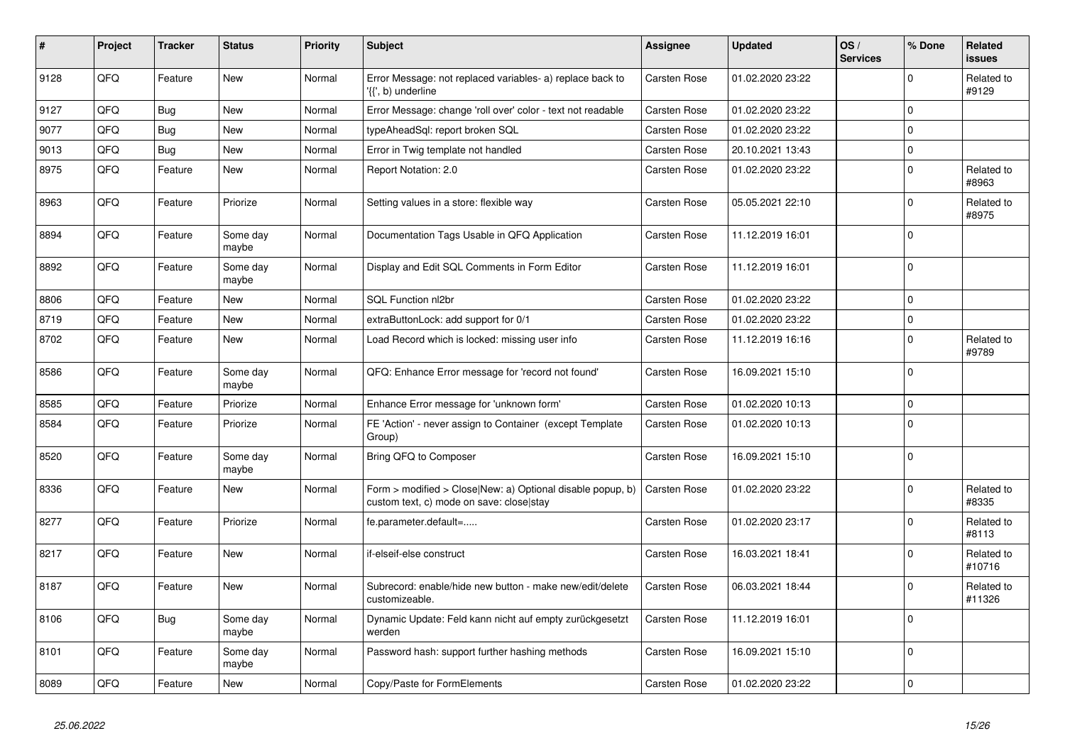| #    | Project | <b>Tracker</b> | <b>Status</b>     | <b>Priority</b> | <b>Subject</b>                                                                                         | Assignee            | <b>Updated</b>   | OS/<br><b>Services</b> | % Done      | Related<br>issues    |
|------|---------|----------------|-------------------|-----------------|--------------------------------------------------------------------------------------------------------|---------------------|------------------|------------------------|-------------|----------------------|
| 9128 | QFQ     | Feature        | <b>New</b>        | Normal          | Error Message: not replaced variables- a) replace back to<br>'{{', b) underline                        | Carsten Rose        | 01.02.2020 23:22 |                        | $\Omega$    | Related to<br>#9129  |
| 9127 | QFQ     | Bug            | <b>New</b>        | Normal          | Error Message: change 'roll over' color - text not readable                                            | Carsten Rose        | 01.02.2020 23:22 |                        | $\mathbf 0$ |                      |
| 9077 | QFQ     | Bug            | <b>New</b>        | Normal          | typeAheadSql: report broken SQL                                                                        | Carsten Rose        | 01.02.2020 23:22 |                        | $\Omega$    |                      |
| 9013 | QFQ     | <b>Bug</b>     | <b>New</b>        | Normal          | Error in Twig template not handled                                                                     | Carsten Rose        | 20.10.2021 13:43 |                        | $\mathbf 0$ |                      |
| 8975 | QFQ     | Feature        | <b>New</b>        | Normal          | Report Notation: 2.0                                                                                   | Carsten Rose        | 01.02.2020 23:22 |                        | $\Omega$    | Related to<br>#8963  |
| 8963 | QFQ     | Feature        | Priorize          | Normal          | Setting values in a store: flexible way                                                                | Carsten Rose        | 05.05.2021 22:10 |                        | $\Omega$    | Related to<br>#8975  |
| 8894 | QFQ     | Feature        | Some day<br>maybe | Normal          | Documentation Tags Usable in QFQ Application                                                           | Carsten Rose        | 11.12.2019 16:01 |                        | $\Omega$    |                      |
| 8892 | QFQ     | Feature        | Some day<br>maybe | Normal          | Display and Edit SQL Comments in Form Editor                                                           | <b>Carsten Rose</b> | 11.12.2019 16:01 |                        | $\mathbf 0$ |                      |
| 8806 | QFQ     | Feature        | <b>New</b>        | Normal          | SQL Function nl2br                                                                                     | Carsten Rose        | 01.02.2020 23:22 |                        | $\Omega$    |                      |
| 8719 | QFQ     | Feature        | <b>New</b>        | Normal          | extraButtonLock: add support for 0/1                                                                   | Carsten Rose        | 01.02.2020 23:22 |                        | $\mathbf 0$ |                      |
| 8702 | QFQ     | Feature        | <b>New</b>        | Normal          | Load Record which is locked: missing user info                                                         | Carsten Rose        | 11.12.2019 16:16 |                        | $\Omega$    | Related to<br>#9789  |
| 8586 | QFQ     | Feature        | Some day<br>maybe | Normal          | QFQ: Enhance Error message for 'record not found'                                                      | Carsten Rose        | 16.09.2021 15:10 |                        | $\Omega$    |                      |
| 8585 | QFQ     | Feature        | Priorize          | Normal          | Enhance Error message for 'unknown form'                                                               | Carsten Rose        | 01.02.2020 10:13 |                        | $\mathbf 0$ |                      |
| 8584 | QFQ     | Feature        | Priorize          | Normal          | FE 'Action' - never assign to Container (except Template<br>Group)                                     | Carsten Rose        | 01.02.2020 10:13 |                        | $\mathbf 0$ |                      |
| 8520 | QFQ     | Feature        | Some day<br>maybe | Normal          | Bring QFQ to Composer                                                                                  | <b>Carsten Rose</b> | 16.09.2021 15:10 |                        | $\Omega$    |                      |
| 8336 | QFQ     | Feature        | <b>New</b>        | Normal          | Form > modified > Close New: a) Optional disable popup, b)<br>custom text, c) mode on save: closelstay | <b>Carsten Rose</b> | 01.02.2020 23:22 |                        | $\Omega$    | Related to<br>#8335  |
| 8277 | QFQ     | Feature        | Priorize          | Normal          | fe.parameter.default=                                                                                  | Carsten Rose        | 01.02.2020 23:17 |                        | $\Omega$    | Related to<br>#8113  |
| 8217 | QFQ     | Feature        | <b>New</b>        | Normal          | if-elseif-else construct                                                                               | Carsten Rose        | 16.03.2021 18:41 |                        | $\Omega$    | Related to<br>#10716 |
| 8187 | QFQ     | Feature        | <b>New</b>        | Normal          | Subrecord: enable/hide new button - make new/edit/delete<br>customizeable.                             | Carsten Rose        | 06.03.2021 18:44 |                        | $\Omega$    | Related to<br>#11326 |
| 8106 | QFQ     | <b>Bug</b>     | Some day<br>maybe | Normal          | Dynamic Update: Feld kann nicht auf empty zurückgesetzt<br>werden                                      | Carsten Rose        | 11.12.2019 16:01 |                        | $\Omega$    |                      |
| 8101 | QFQ     | Feature        | Some day<br>maybe | Normal          | Password hash: support further hashing methods                                                         | Carsten Rose        | 16.09.2021 15:10 |                        | $\Omega$    |                      |
| 8089 | QFQ     | Feature        | New               | Normal          | Copy/Paste for FormElements                                                                            | Carsten Rose        | 01.02.2020 23:22 |                        | 0           |                      |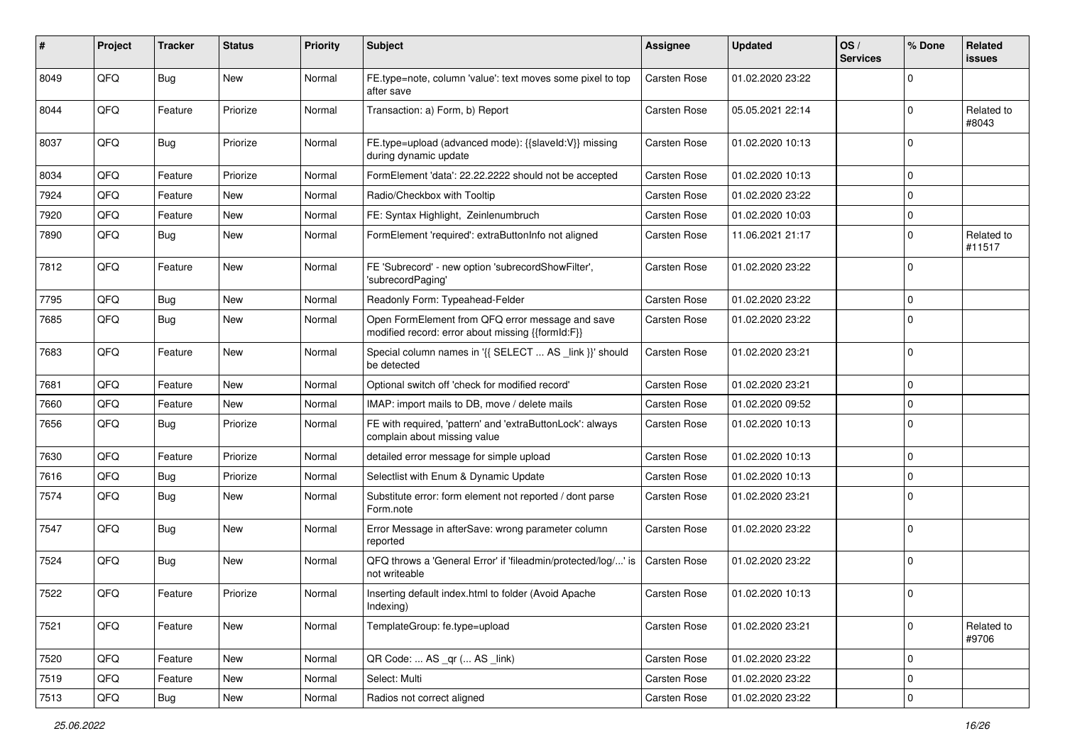| ∦    | Project | <b>Tracker</b> | <b>Status</b> | <b>Priority</b> | Subject                                                                                               | <b>Assignee</b>     | <b>Updated</b>   | OS/<br><b>Services</b> | % Done      | Related<br>issues    |
|------|---------|----------------|---------------|-----------------|-------------------------------------------------------------------------------------------------------|---------------------|------------------|------------------------|-------------|----------------------|
| 8049 | QFQ     | Bug            | <b>New</b>    | Normal          | FE.type=note, column 'value': text moves some pixel to top<br>after save                              | <b>Carsten Rose</b> | 01.02.2020 23:22 |                        | $\mathbf 0$ |                      |
| 8044 | QFQ     | Feature        | Priorize      | Normal          | Transaction: a) Form, b) Report                                                                       | <b>Carsten Rose</b> | 05.05.2021 22:14 |                        | $\mathbf 0$ | Related to<br>#8043  |
| 8037 | QFQ     | Bug            | Priorize      | Normal          | FE.type=upload (advanced mode): {{slaveld:V}} missing<br>during dynamic update                        | <b>Carsten Rose</b> | 01.02.2020 10:13 |                        | $\mathbf 0$ |                      |
| 8034 | QFQ     | Feature        | Priorize      | Normal          | FormElement 'data': 22.22.2222 should not be accepted                                                 | <b>Carsten Rose</b> | 01.02.2020 10:13 |                        | $\mathbf 0$ |                      |
| 7924 | QFQ     | Feature        | New           | Normal          | Radio/Checkbox with Tooltip                                                                           | <b>Carsten Rose</b> | 01.02.2020 23:22 |                        | $\mathbf 0$ |                      |
| 7920 | QFQ     | Feature        | <b>New</b>    | Normal          | FE: Syntax Highlight, Zeinlenumbruch                                                                  | <b>Carsten Rose</b> | 01.02.2020 10:03 |                        | 0           |                      |
| 7890 | QFQ     | <b>Bug</b>     | New           | Normal          | FormElement 'required': extraButtonInfo not aligned                                                   | <b>Carsten Rose</b> | 11.06.2021 21:17 |                        | $\mathbf 0$ | Related to<br>#11517 |
| 7812 | QFQ     | Feature        | New           | Normal          | FE 'Subrecord' - new option 'subrecordShowFilter',<br>'subrecordPaging'                               | <b>Carsten Rose</b> | 01.02.2020 23:22 |                        | $\mathbf 0$ |                      |
| 7795 | QFQ     | Bug            | <b>New</b>    | Normal          | Readonly Form: Typeahead-Felder                                                                       | <b>Carsten Rose</b> | 01.02.2020 23:22 |                        | $\mathbf 0$ |                      |
| 7685 | QFQ     | Bug            | New           | Normal          | Open FormElement from QFQ error message and save<br>modified record: error about missing {{formId:F}} | <b>Carsten Rose</b> | 01.02.2020 23:22 |                        | $\Omega$    |                      |
| 7683 | QFQ     | Feature        | <b>New</b>    | Normal          | Special column names in '{{ SELECT  AS _link }}' should<br>be detected                                | <b>Carsten Rose</b> | 01.02.2020 23:21 |                        | $\mathbf 0$ |                      |
| 7681 | QFQ     | Feature        | <b>New</b>    | Normal          | Optional switch off 'check for modified record'                                                       | <b>Carsten Rose</b> | 01.02.2020 23:21 |                        | $\mathbf 0$ |                      |
| 7660 | QFQ     | Feature        | New           | Normal          | IMAP: import mails to DB, move / delete mails                                                         | <b>Carsten Rose</b> | 01.02.2020 09:52 |                        | $\mathbf 0$ |                      |
| 7656 | QFQ     | Bug            | Priorize      | Normal          | FE with required, 'pattern' and 'extraButtonLock': always<br>complain about missing value             | <b>Carsten Rose</b> | 01.02.2020 10:13 |                        | $\Omega$    |                      |
| 7630 | QFQ     | Feature        | Priorize      | Normal          | detailed error message for simple upload                                                              | <b>Carsten Rose</b> | 01.02.2020 10:13 |                        | $\mathbf 0$ |                      |
| 7616 | QFQ     | <b>Bug</b>     | Priorize      | Normal          | Selectlist with Enum & Dynamic Update                                                                 | <b>Carsten Rose</b> | 01.02.2020 10:13 |                        | $\mathbf 0$ |                      |
| 7574 | QFQ     | <b>Bug</b>     | New           | Normal          | Substitute error: form element not reported / dont parse<br>Form.note                                 | Carsten Rose        | 01.02.2020 23:21 |                        | $\Omega$    |                      |
| 7547 | QFQ     | Bug            | <b>New</b>    | Normal          | Error Message in afterSave: wrong parameter column<br>reported                                        | Carsten Rose        | 01.02.2020 23:22 |                        | $\Omega$    |                      |
| 7524 | QFQ     | Bug            | New           | Normal          | QFQ throws a 'General Error' if 'fileadmin/protected/log/' is<br>not writeable                        | Carsten Rose        | 01.02.2020 23:22 |                        | $\mathbf 0$ |                      |
| 7522 | QFQ     | Feature        | Priorize      | Normal          | Inserting default index.html to folder (Avoid Apache<br>Indexing)                                     | <b>Carsten Rose</b> | 01.02.2020 10:13 |                        | $\mathbf 0$ |                      |
| 7521 | QFQ     | Feature        | New           | Normal          | TemplateGroup: fe.type=upload                                                                         | Carsten Rose        | 01.02.2020 23:21 |                        | $\mathbf 0$ | Related to<br>#9706  |
| 7520 | QFQ     | Feature        | New           | Normal          | QR Code:  AS _qr ( AS _link)                                                                          | Carsten Rose        | 01.02.2020 23:22 |                        | $\mathbf 0$ |                      |
| 7519 | QFQ     | Feature        | New           | Normal          | Select: Multi                                                                                         | Carsten Rose        | 01.02.2020 23:22 |                        | 0           |                      |
| 7513 | QFQ     | Bug            | New           | Normal          | Radios not correct aligned                                                                            | Carsten Rose        | 01.02.2020 23:22 |                        | 0           |                      |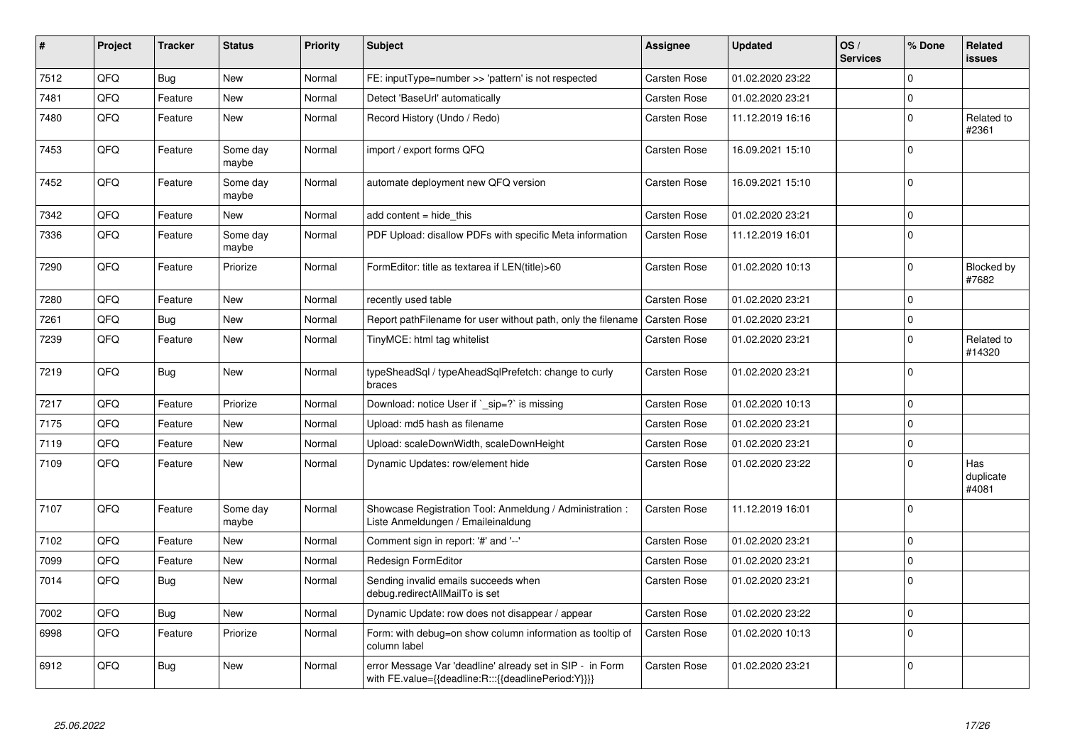| #    | Project | Tracker    | <b>Status</b>     | <b>Priority</b> | <b>Subject</b>                                                                                                   | Assignee            | <b>Updated</b>   | OS/<br><b>Services</b> | % Done      | Related<br>issues         |
|------|---------|------------|-------------------|-----------------|------------------------------------------------------------------------------------------------------------------|---------------------|------------------|------------------------|-------------|---------------------------|
| 7512 | QFQ     | Bug        | <b>New</b>        | Normal          | FE: inputType=number >> 'pattern' is not respected                                                               | Carsten Rose        | 01.02.2020 23:22 |                        | $\Omega$    |                           |
| 7481 | QFQ     | Feature    | New               | Normal          | Detect 'BaseUrl' automatically                                                                                   | Carsten Rose        | 01.02.2020 23:21 |                        | $\Omega$    |                           |
| 7480 | QFQ     | Feature    | New               | Normal          | Record History (Undo / Redo)                                                                                     | Carsten Rose        | 11.12.2019 16:16 |                        | $\mathbf 0$ | Related to<br>#2361       |
| 7453 | QFQ     | Feature    | Some day<br>maybe | Normal          | import / export forms QFQ                                                                                        | Carsten Rose        | 16.09.2021 15:10 |                        | $\Omega$    |                           |
| 7452 | QFQ     | Feature    | Some day<br>maybe | Normal          | automate deployment new QFQ version                                                                              | Carsten Rose        | 16.09.2021 15:10 |                        | $\Omega$    |                           |
| 7342 | QFQ     | Feature    | <b>New</b>        | Normal          | add content = hide_this                                                                                          | Carsten Rose        | 01.02.2020 23:21 |                        | $\Omega$    |                           |
| 7336 | QFQ     | Feature    | Some day<br>maybe | Normal          | PDF Upload: disallow PDFs with specific Meta information                                                         | <b>Carsten Rose</b> | 11.12.2019 16:01 |                        | $\mathbf 0$ |                           |
| 7290 | QFQ     | Feature    | Priorize          | Normal          | FormEditor: title as textarea if LEN(title)>60                                                                   | Carsten Rose        | 01.02.2020 10:13 |                        | $\mathbf 0$ | Blocked by<br>#7682       |
| 7280 | QFQ     | Feature    | <b>New</b>        | Normal          | recently used table                                                                                              | Carsten Rose        | 01.02.2020 23:21 |                        | $\mathbf 0$ |                           |
| 7261 | QFQ     | Bug        | <b>New</b>        | Normal          | Report pathFilename for user without path, only the filename                                                     | <b>Carsten Rose</b> | 01.02.2020 23:21 |                        | $\Omega$    |                           |
| 7239 | QFQ     | Feature    | <b>New</b>        | Normal          | TinyMCE: html tag whitelist                                                                                      | Carsten Rose        | 01.02.2020 23:21 |                        | $\Omega$    | Related to<br>#14320      |
| 7219 | QFQ     | <b>Bug</b> | <b>New</b>        | Normal          | typeSheadSql / typeAheadSqlPrefetch: change to curly<br>braces                                                   | Carsten Rose        | 01.02.2020 23:21 |                        | $\mathbf 0$ |                           |
| 7217 | QFQ     | Feature    | Priorize          | Normal          | Download: notice User if ` sip=?` is missing                                                                     | Carsten Rose        | 01.02.2020 10:13 |                        | 0           |                           |
| 7175 | QFQ     | Feature    | <b>New</b>        | Normal          | Upload: md5 hash as filename                                                                                     | Carsten Rose        | 01.02.2020 23:21 |                        | $\Omega$    |                           |
| 7119 | QFQ     | Feature    | <b>New</b>        | Normal          | Upload: scaleDownWidth, scaleDownHeight                                                                          | <b>Carsten Rose</b> | 01.02.2020 23:21 |                        | $\mathbf 0$ |                           |
| 7109 | QFQ     | Feature    | <b>New</b>        | Normal          | Dynamic Updates: row/element hide                                                                                | Carsten Rose        | 01.02.2020 23:22 |                        | $\Omega$    | Has<br>duplicate<br>#4081 |
| 7107 | QFQ     | Feature    | Some day<br>maybe | Normal          | Showcase Registration Tool: Anmeldung / Administration :<br>Liste Anmeldungen / Emaileinaldung                   | Carsten Rose        | 11.12.2019 16:01 |                        | $\Omega$    |                           |
| 7102 | QFQ     | Feature    | <b>New</b>        | Normal          | Comment sign in report: '#' and '--'                                                                             | Carsten Rose        | 01.02.2020 23:21 |                        | $\Omega$    |                           |
| 7099 | QFQ     | Feature    | New               | Normal          | Redesign FormEditor                                                                                              | Carsten Rose        | 01.02.2020 23:21 |                        | 0           |                           |
| 7014 | QFQ     | Bug        | <b>New</b>        | Normal          | Sending invalid emails succeeds when<br>debug.redirectAllMailTo is set                                           | Carsten Rose        | 01.02.2020 23:21 |                        | $\Omega$    |                           |
| 7002 | QFQ     | Bug        | <b>New</b>        | Normal          | Dynamic Update: row does not disappear / appear                                                                  | Carsten Rose        | 01.02.2020 23:22 |                        | $\Omega$    |                           |
| 6998 | QFQ     | Feature    | Priorize          | Normal          | Form: with debug=on show column information as tooltip of<br>column label                                        | <b>Carsten Rose</b> | 01.02.2020 10:13 |                        | $\Omega$    |                           |
| 6912 | QFQ     | Bug        | <b>New</b>        | Normal          | error Message Var 'deadline' already set in SIP - in Form<br>with FE.value={{deadline:R:::{{deadlinePeriod:Y}}}} | Carsten Rose        | 01.02.2020 23:21 |                        | $\Omega$    |                           |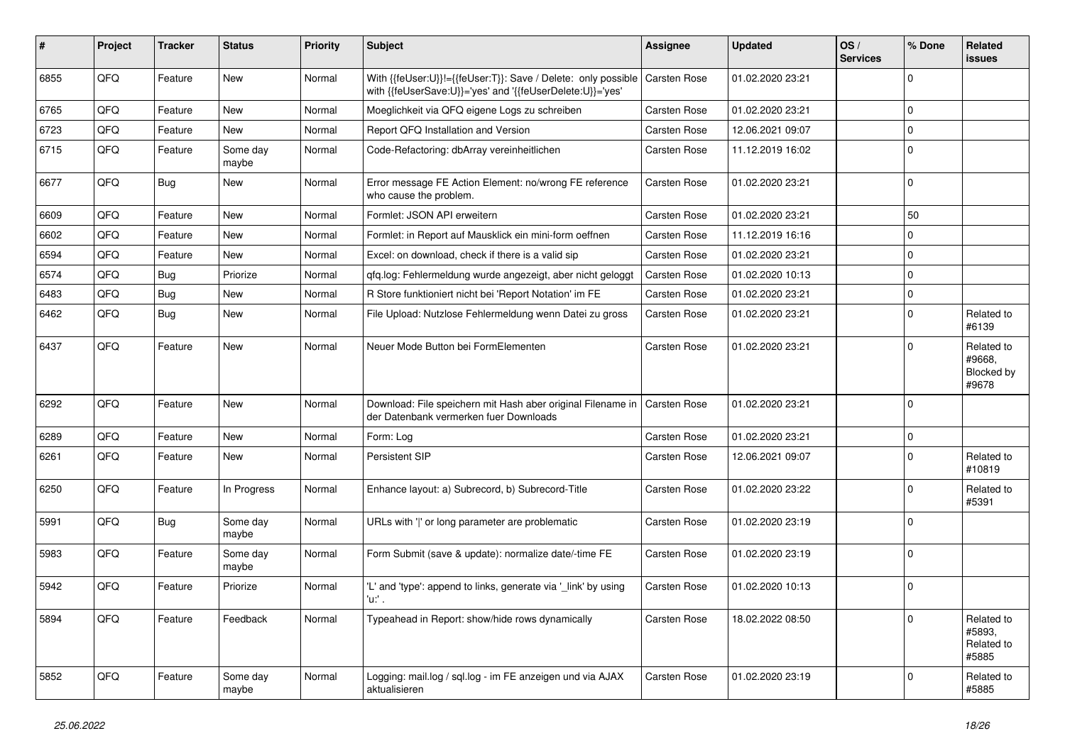| ∦    | Project | <b>Tracker</b> | <b>Status</b>     | <b>Priority</b> | <b>Subject</b>                                                                                                             | <b>Assignee</b>     | <b>Updated</b>   | OS/<br><b>Services</b> | % Done      | Related<br>issues                           |
|------|---------|----------------|-------------------|-----------------|----------------------------------------------------------------------------------------------------------------------------|---------------------|------------------|------------------------|-------------|---------------------------------------------|
| 6855 | QFQ     | Feature        | New               | Normal          | With {{feUser:U}}!={{feUser:T}}: Save / Delete: only possible<br>with {{feUserSave:U}}='yes' and '{{feUserDelete:U}}='yes' | Carsten Rose        | 01.02.2020 23:21 |                        | $\Omega$    |                                             |
| 6765 | QFQ     | Feature        | <b>New</b>        | Normal          | Moeglichkeit via QFQ eigene Logs zu schreiben                                                                              | Carsten Rose        | 01.02.2020 23:21 |                        | 0           |                                             |
| 6723 | QFQ     | Feature        | New               | Normal          | Report QFQ Installation and Version                                                                                        | Carsten Rose        | 12.06.2021 09:07 |                        | 0           |                                             |
| 6715 | QFQ     | Feature        | Some day<br>maybe | Normal          | Code-Refactoring: dbArray vereinheitlichen                                                                                 | Carsten Rose        | 11.12.2019 16:02 |                        | $\Omega$    |                                             |
| 6677 | QFQ     | Bug            | New               | Normal          | Error message FE Action Element: no/wrong FE reference<br>who cause the problem.                                           | Carsten Rose        | 01.02.2020 23:21 |                        | $\mathbf 0$ |                                             |
| 6609 | QFQ     | Feature        | <b>New</b>        | Normal          | Formlet: JSON API erweitern                                                                                                | Carsten Rose        | 01.02.2020 23:21 |                        | 50          |                                             |
| 6602 | QFQ     | Feature        | New               | Normal          | Formlet: in Report auf Mausklick ein mini-form oeffnen                                                                     | Carsten Rose        | 11.12.2019 16:16 |                        | $\Omega$    |                                             |
| 6594 | QFQ     | Feature        | New               | Normal          | Excel: on download, check if there is a valid sip                                                                          | Carsten Rose        | 01.02.2020 23:21 |                        | $\Omega$    |                                             |
| 6574 | QFQ     | <b>Bug</b>     | Priorize          | Normal          | qfq.log: Fehlermeldung wurde angezeigt, aber nicht geloggt                                                                 | Carsten Rose        | 01.02.2020 10:13 |                        | 0           |                                             |
| 6483 | QFQ     | Bug            | New               | Normal          | R Store funktioniert nicht bei 'Report Notation' im FE                                                                     | Carsten Rose        | 01.02.2020 23:21 |                        | 0           |                                             |
| 6462 | QFQ     | <b>Bug</b>     | <b>New</b>        | Normal          | File Upload: Nutzlose Fehlermeldung wenn Datei zu gross                                                                    | Carsten Rose        | 01.02.2020 23:21 |                        | $\Omega$    | Related to<br>#6139                         |
| 6437 | QFQ     | Feature        | <b>New</b>        | Normal          | Neuer Mode Button bei FormElementen                                                                                        | Carsten Rose        | 01.02.2020 23:21 |                        | $\Omega$    | Related to<br>#9668,<br>Blocked by<br>#9678 |
| 6292 | QFQ     | Feature        | <b>New</b>        | Normal          | Download: File speichern mit Hash aber original Filename in<br>der Datenbank vermerken fuer Downloads                      | <b>Carsten Rose</b> | 01.02.2020 23:21 |                        | $\Omega$    |                                             |
| 6289 | QFQ     | Feature        | <b>New</b>        | Normal          | Form: Log                                                                                                                  | Carsten Rose        | 01.02.2020 23:21 |                        | $\Omega$    |                                             |
| 6261 | QFQ     | Feature        | New               | Normal          | Persistent SIP                                                                                                             | Carsten Rose        | 12.06.2021 09:07 |                        | $\Omega$    | Related to<br>#10819                        |
| 6250 | QFQ     | Feature        | In Progress       | Normal          | Enhance layout: a) Subrecord, b) Subrecord-Title                                                                           | Carsten Rose        | 01.02.2020 23:22 |                        | $\Omega$    | Related to<br>#5391                         |
| 5991 | QFQ     | <b>Bug</b>     | Some day<br>maybe | Normal          | URLs with ' ' or long parameter are problematic                                                                            | Carsten Rose        | 01.02.2020 23:19 |                        | $\Omega$    |                                             |
| 5983 | QFQ     | Feature        | Some day<br>maybe | Normal          | Form Submit (save & update): normalize date/-time FE                                                                       | Carsten Rose        | 01.02.2020 23:19 |                        | $\Omega$    |                                             |
| 5942 | QFQ     | Feature        | Priorize          | Normal          | 'L' and 'type': append to links, generate via '_link' by using<br>'u:' .                                                   | Carsten Rose        | 01.02.2020 10:13 |                        | $\Omega$    |                                             |
| 5894 | QFQ     | Feature        | Feedback          | Normal          | Typeahead in Report: show/hide rows dynamically                                                                            | Carsten Rose        | 18.02.2022 08:50 |                        | $\Omega$    | Related to<br>#5893,<br>Related to<br>#5885 |
| 5852 | QFQ     | Feature        | Some day<br>maybe | Normal          | Logging: mail.log / sql.log - im FE anzeigen und via AJAX<br>aktualisieren                                                 | Carsten Rose        | 01.02.2020 23:19 |                        | 0           | Related to<br>#5885                         |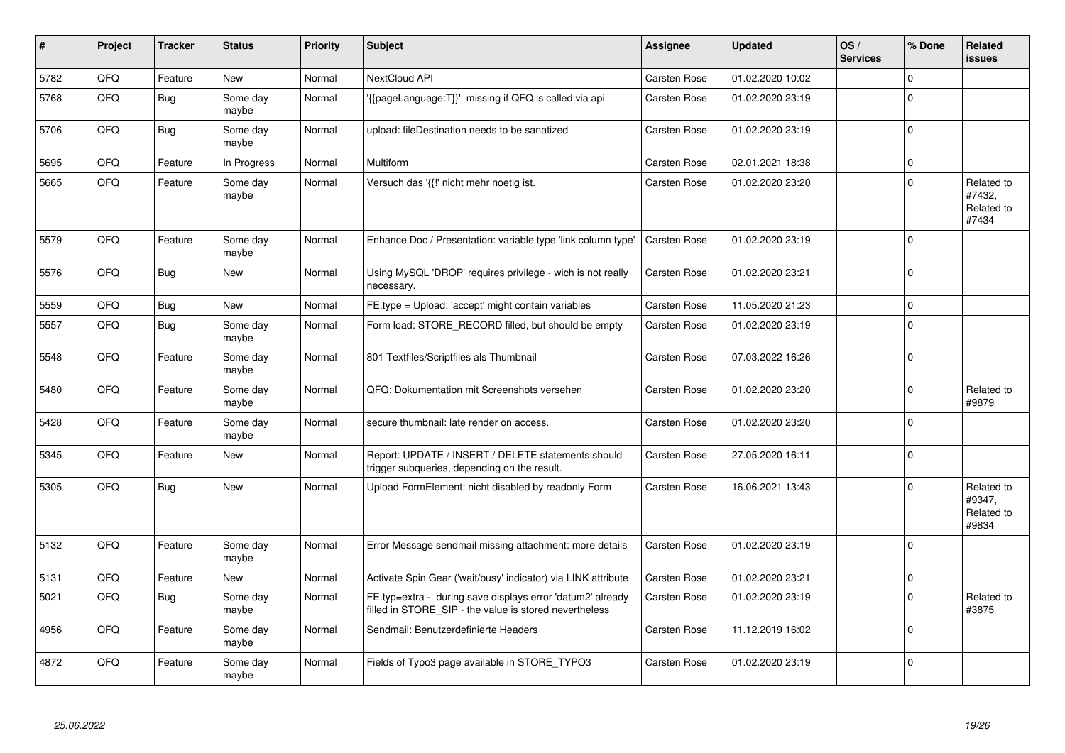| ∦    | Project | <b>Tracker</b> | <b>Status</b>     | <b>Priority</b> | <b>Subject</b>                                                                                                       | Assignee            | <b>Updated</b>   | OS/<br><b>Services</b> | % Done      | Related<br><b>issues</b>                    |
|------|---------|----------------|-------------------|-----------------|----------------------------------------------------------------------------------------------------------------------|---------------------|------------------|------------------------|-------------|---------------------------------------------|
| 5782 | QFQ     | Feature        | <b>New</b>        | Normal          | NextCloud API                                                                                                        | <b>Carsten Rose</b> | 01.02.2020 10:02 |                        | $\Omega$    |                                             |
| 5768 | QFQ     | Bug            | Some day<br>maybe | Normal          | '{{pageLanguage:T}}' missing if QFQ is called via api                                                                | Carsten Rose        | 01.02.2020 23:19 |                        | $\Omega$    |                                             |
| 5706 | QFQ     | Bug            | Some day<br>maybe | Normal          | upload: fileDestination needs to be sanatized                                                                        | Carsten Rose        | 01.02.2020 23:19 |                        | $\Omega$    |                                             |
| 5695 | QFQ     | Feature        | In Progress       | Normal          | <b>Multiform</b>                                                                                                     | Carsten Rose        | 02.01.2021 18:38 |                        | $\mathbf 0$ |                                             |
| 5665 | QFQ     | Feature        | Some day<br>maybe | Normal          | Versuch das '{{!' nicht mehr noetig ist.                                                                             | Carsten Rose        | 01.02.2020 23:20 |                        | $\Omega$    | Related to<br>#7432,<br>Related to<br>#7434 |
| 5579 | QFQ     | Feature        | Some day<br>maybe | Normal          | Enhance Doc / Presentation: variable type 'link column type'                                                         | Carsten Rose        | 01.02.2020 23:19 |                        | $\Omega$    |                                             |
| 5576 | QFQ     | Bug            | <b>New</b>        | Normal          | Using MySQL 'DROP' requires privilege - wich is not really<br>necessary.                                             | Carsten Rose        | 01.02.2020 23:21 |                        | $\Omega$    |                                             |
| 5559 | QFQ     | Bug            | <b>New</b>        | Normal          | FE.type = Upload: 'accept' might contain variables                                                                   | Carsten Rose        | 11.05.2020 21:23 |                        | $\mathbf 0$ |                                             |
| 5557 | QFQ     | <b>Bug</b>     | Some day<br>maybe | Normal          | Form load: STORE_RECORD filled, but should be empty                                                                  | Carsten Rose        | 01.02.2020 23:19 |                        | $\Omega$    |                                             |
| 5548 | QFQ     | Feature        | Some day<br>maybe | Normal          | 801 Textfiles/Scriptfiles als Thumbnail                                                                              | Carsten Rose        | 07.03.2022 16:26 |                        | $\Omega$    |                                             |
| 5480 | QFQ     | Feature        | Some day<br>maybe | Normal          | QFQ: Dokumentation mit Screenshots versehen                                                                          | Carsten Rose        | 01.02.2020 23:20 |                        | $\Omega$    | Related to<br>#9879                         |
| 5428 | QFQ     | Feature        | Some day<br>maybe | Normal          | secure thumbnail: late render on access.                                                                             | Carsten Rose        | 01.02.2020 23:20 |                        | $\Omega$    |                                             |
| 5345 | QFQ     | Feature        | <b>New</b>        | Normal          | Report: UPDATE / INSERT / DELETE statements should<br>trigger subqueries, depending on the result.                   | Carsten Rose        | 27.05.2020 16:11 |                        | $\mathbf 0$ |                                             |
| 5305 | QFQ     | <b>Bug</b>     | <b>New</b>        | Normal          | Upload FormElement: nicht disabled by readonly Form                                                                  | Carsten Rose        | 16.06.2021 13:43 |                        | $\Omega$    | Related to<br>#9347,<br>Related to<br>#9834 |
| 5132 | QFQ     | Feature        | Some day<br>maybe | Normal          | Error Message sendmail missing attachment: more details                                                              | Carsten Rose        | 01.02.2020 23:19 |                        | $\Omega$    |                                             |
| 5131 | QFQ     | Feature        | New               | Normal          | Activate Spin Gear ('wait/busy' indicator) via LINK attribute                                                        | Carsten Rose        | 01.02.2020 23:21 |                        | $\pmb{0}$   |                                             |
| 5021 | QFQ     | Bug            | Some day<br>maybe | Normal          | FE.typ=extra - during save displays error 'datum2' already<br>filled in STORE_SIP - the value is stored nevertheless | Carsten Rose        | 01.02.2020 23:19 |                        | $\Omega$    | Related to<br>#3875                         |
| 4956 | QFQ     | Feature        | Some day<br>maybe | Normal          | Sendmail: Benutzerdefinierte Headers                                                                                 | Carsten Rose        | 11.12.2019 16:02 |                        | $\Omega$    |                                             |
| 4872 | QFQ     | Feature        | Some day<br>maybe | Normal          | Fields of Typo3 page available in STORE_TYPO3                                                                        | Carsten Rose        | 01.02.2020 23:19 |                        | $\Omega$    |                                             |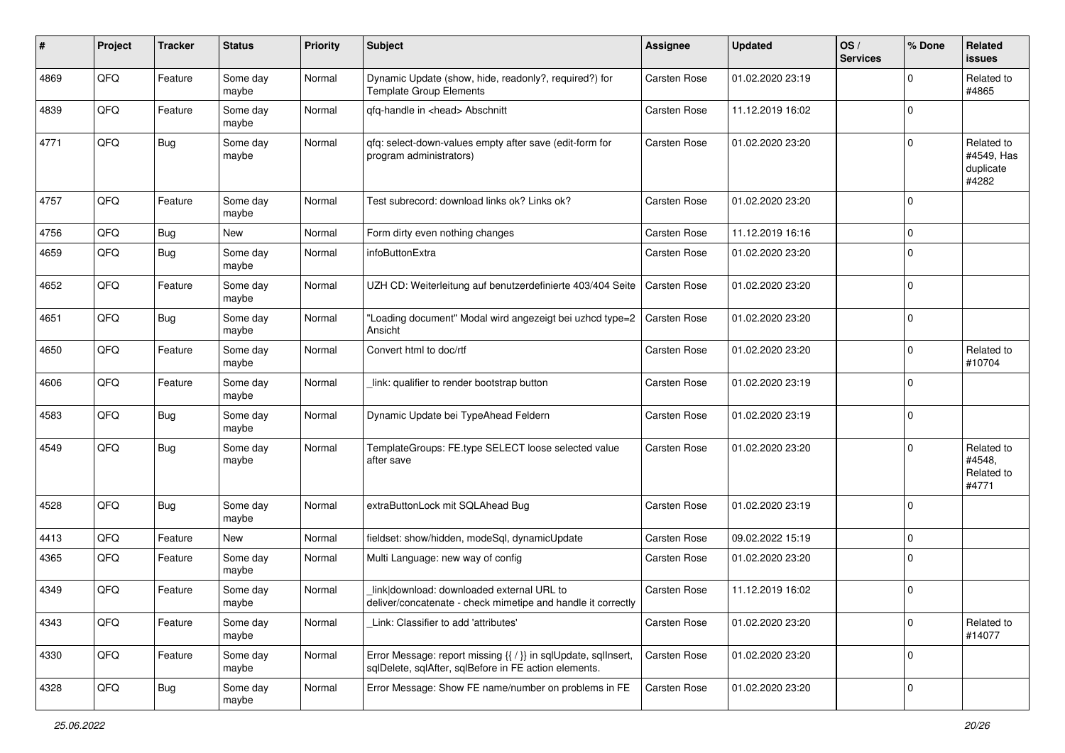| #    | Project | <b>Tracker</b> | <b>Status</b>     | <b>Priority</b> | Subject                                                                                                                 | Assignee            | <b>Updated</b>   | OS/<br><b>Services</b> | % Done       | Related<br>issues                              |
|------|---------|----------------|-------------------|-----------------|-------------------------------------------------------------------------------------------------------------------------|---------------------|------------------|------------------------|--------------|------------------------------------------------|
| 4869 | QFQ     | Feature        | Some day<br>maybe | Normal          | Dynamic Update (show, hide, readonly?, required?) for<br><b>Template Group Elements</b>                                 | Carsten Rose        | 01.02.2020 23:19 |                        | $\Omega$     | Related to<br>#4865                            |
| 4839 | QFQ     | Feature        | Some day<br>maybe | Normal          | qfq-handle in <head> Abschnitt</head>                                                                                   | Carsten Rose        | 11.12.2019 16:02 |                        | $\mathbf 0$  |                                                |
| 4771 | QFQ     | Bug            | Some day<br>maybe | Normal          | gfg: select-down-values empty after save (edit-form for<br>program administrators)                                      | Carsten Rose        | 01.02.2020 23:20 |                        | $\Omega$     | Related to<br>#4549, Has<br>duplicate<br>#4282 |
| 4757 | QFQ     | Feature        | Some day<br>maybe | Normal          | Test subrecord: download links ok? Links ok?                                                                            | <b>Carsten Rose</b> | 01.02.2020 23:20 |                        | $\Omega$     |                                                |
| 4756 | QFQ     | Bug            | New               | Normal          | Form dirty even nothing changes                                                                                         | Carsten Rose        | 11.12.2019 16:16 |                        | $\Omega$     |                                                |
| 4659 | QFQ     | <b>Bug</b>     | Some day<br>maybe | Normal          | infoButtonExtra                                                                                                         | <b>Carsten Rose</b> | 01.02.2020 23:20 |                        | $\Omega$     |                                                |
| 4652 | QFQ     | Feature        | Some day<br>maybe | Normal          | UZH CD: Weiterleitung auf benutzerdefinierte 403/404 Seite                                                              | <b>Carsten Rose</b> | 01.02.2020 23:20 |                        | $\mathbf{0}$ |                                                |
| 4651 | QFQ     | <b>Bug</b>     | Some day<br>maybe | Normal          | "Loading document" Modal wird angezeigt bei uzhcd type=2<br>Ansicht                                                     | <b>Carsten Rose</b> | 01.02.2020 23:20 |                        | $\Omega$     |                                                |
| 4650 | QFQ     | Feature        | Some day<br>maybe | Normal          | Convert html to doc/rtf                                                                                                 | Carsten Rose        | 01.02.2020 23:20 |                        | $\Omega$     | Related to<br>#10704                           |
| 4606 | QFQ     | Feature        | Some day<br>maybe | Normal          | link: qualifier to render bootstrap button                                                                              | <b>Carsten Rose</b> | 01.02.2020 23:19 |                        | $\Omega$     |                                                |
| 4583 | QFQ     | Bug            | Some day<br>maybe | Normal          | Dynamic Update bei TypeAhead Feldern                                                                                    | <b>Carsten Rose</b> | 01.02.2020 23:19 |                        | $\Omega$     |                                                |
| 4549 | QFQ     | Bug            | Some day<br>maybe | Normal          | TemplateGroups: FE.type SELECT loose selected value<br>after save                                                       | <b>Carsten Rose</b> | 01.02.2020 23:20 |                        | $\Omega$     | Related to<br>#4548,<br>Related to<br>#4771    |
| 4528 | QFQ     | Bug            | Some day<br>maybe | Normal          | extraButtonLock mit SQLAhead Bug                                                                                        | Carsten Rose        | 01.02.2020 23:19 |                        | $\mathbf 0$  |                                                |
| 4413 | QFQ     | Feature        | New               | Normal          | fieldset: show/hidden, modeSql, dynamicUpdate                                                                           | <b>Carsten Rose</b> | 09.02.2022 15:19 |                        | $\mathbf 0$  |                                                |
| 4365 | QFQ     | Feature        | Some day<br>maybe | Normal          | Multi Language: new way of config                                                                                       | <b>Carsten Rose</b> | 01.02.2020 23:20 |                        | $\Omega$     |                                                |
| 4349 | QFQ     | Feature        | Some day<br>maybe | Normal          | link download: downloaded external URL to<br>deliver/concatenate - check mimetipe and handle it correctly               | Carsten Rose        | 11.12.2019 16:02 |                        | $\Omega$     |                                                |
| 4343 | QFQ     | Feature        | Some day<br>maybe | Normal          | Link: Classifier to add 'attributes'                                                                                    | Carsten Rose        | 01.02.2020 23:20 |                        | $\mathbf 0$  | Related to<br>#14077                           |
| 4330 | QFQ     | Feature        | Some day<br>maybe | Normal          | Error Message: report missing {{ / }} in sqlUpdate, sqlInsert,<br>sqlDelete, sqlAfter, sqlBefore in FE action elements. | Carsten Rose        | 01.02.2020 23:20 |                        | $\mathbf 0$  |                                                |
| 4328 | QFQ     | <b>Bug</b>     | Some day<br>maybe | Normal          | Error Message: Show FE name/number on problems in FE                                                                    | Carsten Rose        | 01.02.2020 23:20 |                        | 0            |                                                |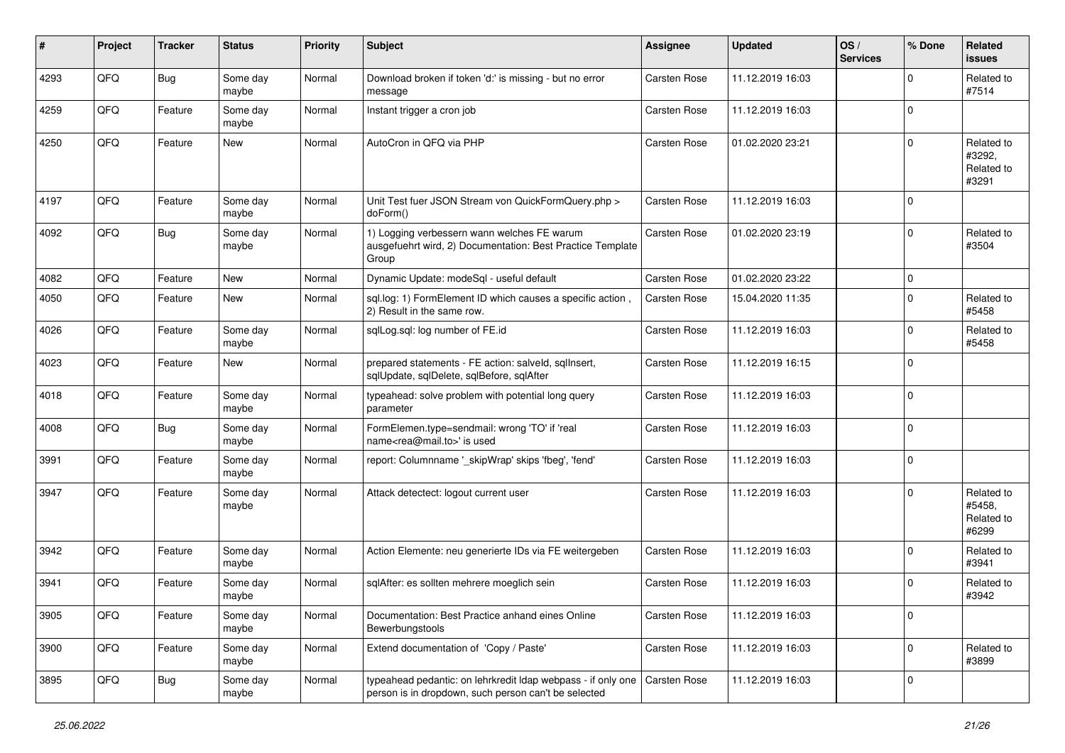| ∦    | Project | <b>Tracker</b> | <b>Status</b>     | <b>Priority</b> | <b>Subject</b>                                                                                                       | <b>Assignee</b>     | <b>Updated</b>   | OS/<br><b>Services</b> | % Done      | Related<br><b>issues</b>                    |
|------|---------|----------------|-------------------|-----------------|----------------------------------------------------------------------------------------------------------------------|---------------------|------------------|------------------------|-------------|---------------------------------------------|
| 4293 | QFQ     | Bug            | Some day<br>maybe | Normal          | Download broken if token 'd:' is missing - but no error<br>message                                                   | <b>Carsten Rose</b> | 11.12.2019 16:03 |                        | $\Omega$    | Related to<br>#7514                         |
| 4259 | QFQ     | Feature        | Some day<br>maybe | Normal          | Instant trigger a cron job                                                                                           | Carsten Rose        | 11.12.2019 16:03 |                        | $\Omega$    |                                             |
| 4250 | QFQ     | Feature        | <b>New</b>        | Normal          | AutoCron in QFQ via PHP                                                                                              | Carsten Rose        | 01.02.2020 23:21 |                        | $\Omega$    | Related to<br>#3292,<br>Related to<br>#3291 |
| 4197 | QFQ     | Feature        | Some day<br>maybe | Normal          | Unit Test fuer JSON Stream von QuickFormQuery.php ><br>doForm()                                                      | <b>Carsten Rose</b> | 11.12.2019 16:03 |                        | $\Omega$    |                                             |
| 4092 | QFQ     | Bug            | Some day<br>maybe | Normal          | 1) Logging verbessern wann welches FE warum<br>ausgefuehrt wird, 2) Documentation: Best Practice Template<br>Group   | Carsten Rose        | 01.02.2020 23:19 |                        | $\Omega$    | Related to<br>#3504                         |
| 4082 | QFQ     | Feature        | <b>New</b>        | Normal          | Dynamic Update: modeSql - useful default                                                                             | Carsten Rose        | 01.02.2020 23:22 |                        | $\mathbf 0$ |                                             |
| 4050 | QFQ     | Feature        | <b>New</b>        | Normal          | sql.log: 1) FormElement ID which causes a specific action,<br>2) Result in the same row.                             | Carsten Rose        | 15.04.2020 11:35 |                        | $\Omega$    | Related to<br>#5458                         |
| 4026 | QFQ     | Feature        | Some day<br>maybe | Normal          | sqlLog.sql: log number of FE.id                                                                                      | <b>Carsten Rose</b> | 11.12.2019 16:03 |                        | $\Omega$    | Related to<br>#5458                         |
| 4023 | QFQ     | Feature        | New               | Normal          | prepared statements - FE action: salveld, sqlInsert,<br>sqlUpdate, sqlDelete, sqlBefore, sqlAfter                    | Carsten Rose        | 11.12.2019 16:15 |                        | $\Omega$    |                                             |
| 4018 | QFQ     | Feature        | Some day<br>maybe | Normal          | typeahead: solve problem with potential long query<br>parameter                                                      | Carsten Rose        | 11.12.2019 16:03 |                        | $\mathbf 0$ |                                             |
| 4008 | QFQ     | Bug            | Some day<br>maybe | Normal          | FormElemen.type=sendmail: wrong 'TO' if 'real<br>name <rea@mail.to>' is used</rea@mail.to>                           | Carsten Rose        | 11.12.2019 16:03 |                        | $\mathbf 0$ |                                             |
| 3991 | QFQ     | Feature        | Some day<br>maybe | Normal          | report: Columnname '_skipWrap' skips 'fbeg', 'fend'                                                                  | Carsten Rose        | 11.12.2019 16:03 |                        | 0           |                                             |
| 3947 | QFQ     | Feature        | Some day<br>maybe | Normal          | Attack detectect: logout current user                                                                                | <b>Carsten Rose</b> | 11.12.2019 16:03 |                        | $\Omega$    | Related to<br>#5458,<br>Related to<br>#6299 |
| 3942 | QFQ     | Feature        | Some day<br>maybe | Normal          | Action Elemente: neu generierte IDs via FE weitergeben                                                               | <b>Carsten Rose</b> | 11.12.2019 16:03 |                        | $\Omega$    | Related to<br>#3941                         |
| 3941 | QFQ     | Feature        | Some day<br>maybe | Normal          | sqlAfter: es sollten mehrere moeglich sein                                                                           | Carsten Rose        | 11.12.2019 16:03 |                        | $\Omega$    | Related to<br>#3942                         |
| 3905 | QFQ     | Feature        | Some day<br>maybe | Normal          | Documentation: Best Practice anhand eines Online<br>Bewerbungstools                                                  | Carsten Rose        | 11.12.2019 16:03 |                        | 0           |                                             |
| 3900 | QFQ     | Feature        | Some day<br>maybe | Normal          | Extend documentation of 'Copy / Paste'                                                                               | Carsten Rose        | 11.12.2019 16:03 |                        | $\mathbf 0$ | Related to<br>#3899                         |
| 3895 | QFQ     | <b>Bug</b>     | Some day<br>maybe | Normal          | typeahead pedantic: on lehrkredit Idap webpass - if only one<br>person is in dropdown, such person can't be selected | Carsten Rose        | 11.12.2019 16:03 |                        | 0           |                                             |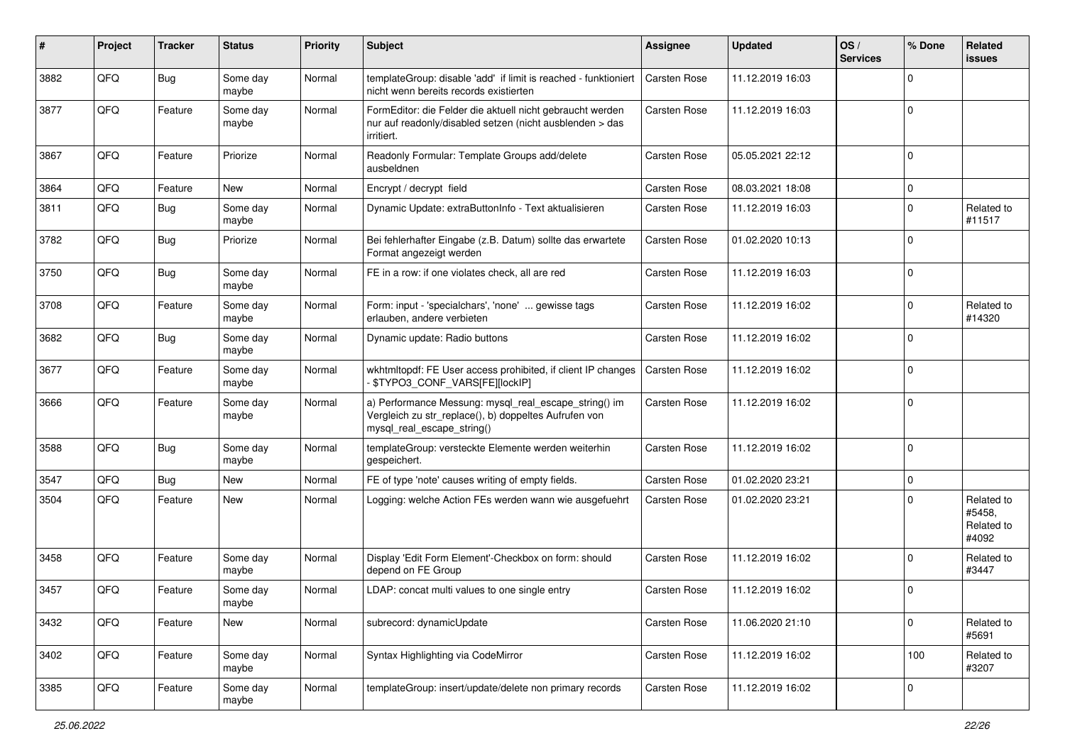| ∦    | Project | <b>Tracker</b> | <b>Status</b>     | <b>Priority</b> | <b>Subject</b>                                                                                                                               | <b>Assignee</b>     | <b>Updated</b>   | OS/<br><b>Services</b> | % Done      | Related<br>issues                           |
|------|---------|----------------|-------------------|-----------------|----------------------------------------------------------------------------------------------------------------------------------------------|---------------------|------------------|------------------------|-------------|---------------------------------------------|
| 3882 | QFQ     | Bug            | Some day<br>maybe | Normal          | templateGroup: disable 'add' if limit is reached - funktioniert<br>nicht wenn bereits records existierten                                    | <b>Carsten Rose</b> | 11.12.2019 16:03 |                        | $\Omega$    |                                             |
| 3877 | QFQ     | Feature        | Some day<br>maybe | Normal          | FormEditor: die Felder die aktuell nicht gebraucht werden<br>nur auf readonly/disabled setzen (nicht ausblenden > das<br>irritiert.          | Carsten Rose        | 11.12.2019 16:03 |                        | $\mathbf 0$ |                                             |
| 3867 | QFQ     | Feature        | Priorize          | Normal          | Readonly Formular: Template Groups add/delete<br>ausbeldnen                                                                                  | Carsten Rose        | 05.05.2021 22:12 |                        | $\mathbf 0$ |                                             |
| 3864 | QFQ     | Feature        | New               | Normal          | Encrypt / decrypt field                                                                                                                      | <b>Carsten Rose</b> | 08.03.2021 18:08 |                        | $\Omega$    |                                             |
| 3811 | QFQ     | <b>Bug</b>     | Some day<br>maybe | Normal          | Dynamic Update: extraButtonInfo - Text aktualisieren                                                                                         | Carsten Rose        | 11.12.2019 16:03 |                        | $\Omega$    | Related to<br>#11517                        |
| 3782 | QFQ     | Bug            | Priorize          | Normal          | Bei fehlerhafter Eingabe (z.B. Datum) sollte das erwartete<br>Format angezeigt werden                                                        | Carsten Rose        | 01.02.2020 10:13 |                        | $\Omega$    |                                             |
| 3750 | QFQ     | Bug            | Some day<br>maybe | Normal          | FE in a row: if one violates check, all are red                                                                                              | <b>Carsten Rose</b> | 11.12.2019 16:03 |                        | $\mathbf 0$ |                                             |
| 3708 | QFQ     | Feature        | Some day<br>maybe | Normal          | Form: input - 'specialchars', 'none'  gewisse tags<br>erlauben, andere verbieten                                                             | <b>Carsten Rose</b> | 11.12.2019 16:02 |                        | $\mathbf 0$ | Related to<br>#14320                        |
| 3682 | QFQ     | <b>Bug</b>     | Some day<br>maybe | Normal          | Dynamic update: Radio buttons                                                                                                                | Carsten Rose        | 11.12.2019 16:02 |                        | $\mathbf 0$ |                                             |
| 3677 | QFQ     | Feature        | Some day<br>maybe | Normal          | wkhtmltopdf: FE User access prohibited, if client IP changes<br>- \$TYPO3_CONF_VARS[FE][lockIP]                                              | Carsten Rose        | 11.12.2019 16:02 |                        | $\Omega$    |                                             |
| 3666 | QFQ     | Feature        | Some day<br>maybe | Normal          | a) Performance Messung: mysql_real_escape_string() im<br>Vergleich zu str_replace(), b) doppeltes Aufrufen von<br>mysql_real_escape_string() | Carsten Rose        | 11.12.2019 16:02 |                        | $\mathbf 0$ |                                             |
| 3588 | QFQ     | Bug            | Some day<br>maybe | Normal          | templateGroup: versteckte Elemente werden weiterhin<br>gespeichert.                                                                          | Carsten Rose        | 11.12.2019 16:02 |                        | $\mathbf 0$ |                                             |
| 3547 | QFQ     | <b>Bug</b>     | New               | Normal          | FE of type 'note' causes writing of empty fields.                                                                                            | Carsten Rose        | 01.02.2020 23:21 |                        | $\mathbf 0$ |                                             |
| 3504 | QFQ     | Feature        | <b>New</b>        | Normal          | Logging: welche Action FEs werden wann wie ausgefuehrt                                                                                       | Carsten Rose        | 01.02.2020 23:21 |                        | $\Omega$    | Related to<br>#5458,<br>Related to<br>#4092 |
| 3458 | QFQ     | Feature        | Some day<br>maybe | Normal          | Display 'Edit Form Element'-Checkbox on form: should<br>depend on FE Group                                                                   | Carsten Rose        | 11.12.2019 16:02 |                        | $\Omega$    | Related to<br>#3447                         |
| 3457 | QFQ     | Feature        | Some day<br>maybe | Normal          | LDAP: concat multi values to one single entry                                                                                                | <b>Carsten Rose</b> | 11.12.2019 16:02 |                        | $\Omega$    |                                             |
| 3432 | QFQ     | Feature        | New               | Normal          | subrecord: dynamicUpdate                                                                                                                     | Carsten Rose        | 11.06.2020 21:10 |                        | $\mathbf 0$ | Related to<br>#5691                         |
| 3402 | QFQ     | Feature        | Some day<br>maybe | Normal          | Syntax Highlighting via CodeMirror                                                                                                           | Carsten Rose        | 11.12.2019 16:02 |                        | 100         | Related to<br>#3207                         |
| 3385 | QFQ     | Feature        | Some day<br>maybe | Normal          | templateGroup: insert/update/delete non primary records                                                                                      | Carsten Rose        | 11.12.2019 16:02 |                        | $\mathbf 0$ |                                             |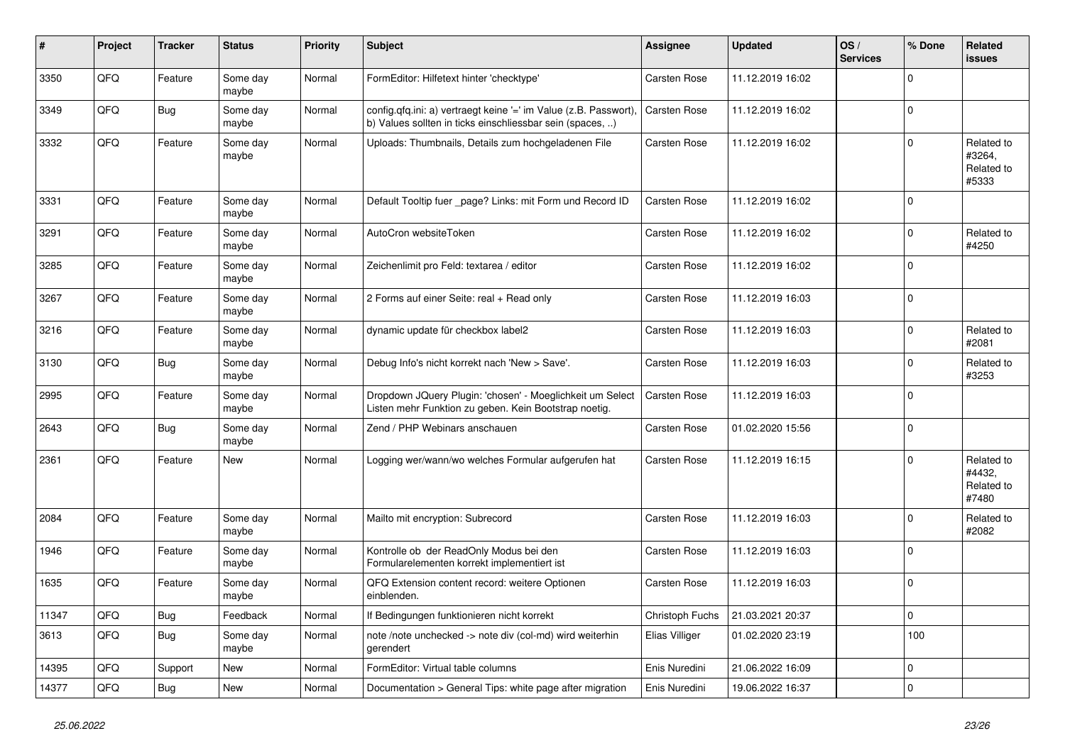| #     | Project | <b>Tracker</b> | <b>Status</b>     | <b>Priority</b> | <b>Subject</b>                                                                                                                | <b>Assignee</b>     | <b>Updated</b>   | OS/<br><b>Services</b> | % Done      | Related<br>issues                           |
|-------|---------|----------------|-------------------|-----------------|-------------------------------------------------------------------------------------------------------------------------------|---------------------|------------------|------------------------|-------------|---------------------------------------------|
| 3350  | QFQ     | Feature        | Some day<br>maybe | Normal          | FormEditor: Hilfetext hinter 'checktype'                                                                                      | <b>Carsten Rose</b> | 11.12.2019 16:02 |                        | $\mathbf 0$ |                                             |
| 3349  | QFQ     | <b>Bug</b>     | Some day<br>maybe | Normal          | config.qfq.ini: a) vertraegt keine '=' im Value (z.B. Passwort),<br>b) Values sollten in ticks einschliessbar sein (spaces, ) | Carsten Rose        | 11.12.2019 16:02 |                        | $\mathbf 0$ |                                             |
| 3332  | QFQ     | Feature        | Some day<br>maybe | Normal          | Uploads: Thumbnails, Details zum hochgeladenen File                                                                           | <b>Carsten Rose</b> | 11.12.2019 16:02 |                        | $\Omega$    | Related to<br>#3264,<br>Related to<br>#5333 |
| 3331  | QFQ     | Feature        | Some day<br>maybe | Normal          | Default Tooltip fuer _page? Links: mit Form und Record ID                                                                     | <b>Carsten Rose</b> | 11.12.2019 16:02 |                        | $\mathbf 0$ |                                             |
| 3291  | QFQ     | Feature        | Some day<br>maybe | Normal          | AutoCron websiteToken                                                                                                         | Carsten Rose        | 11.12.2019 16:02 |                        | $\Omega$    | Related to<br>#4250                         |
| 3285  | QFQ     | Feature        | Some day<br>maybe | Normal          | Zeichenlimit pro Feld: textarea / editor                                                                                      | Carsten Rose        | 11.12.2019 16:02 |                        | $\mathbf 0$ |                                             |
| 3267  | QFQ     | Feature        | Some day<br>maybe | Normal          | 2 Forms auf einer Seite: real + Read only                                                                                     | Carsten Rose        | 11.12.2019 16:03 |                        | $\mathbf 0$ |                                             |
| 3216  | QFQ     | Feature        | Some day<br>maybe | Normal          | dynamic update für checkbox label2                                                                                            | Carsten Rose        | 11.12.2019 16:03 |                        | $\Omega$    | Related to<br>#2081                         |
| 3130  | QFQ     | Bug            | Some day<br>maybe | Normal          | Debug Info's nicht korrekt nach 'New > Save'.                                                                                 | <b>Carsten Rose</b> | 11.12.2019 16:03 |                        | $\Omega$    | Related to<br>#3253                         |
| 2995  | QFQ     | Feature        | Some day<br>maybe | Normal          | Dropdown JQuery Plugin: 'chosen' - Moeglichkeit um Select<br>Listen mehr Funktion zu geben. Kein Bootstrap noetig.            | Carsten Rose        | 11.12.2019 16:03 |                        | $\mathbf 0$ |                                             |
| 2643  | QFQ     | Bug            | Some day<br>maybe | Normal          | Zend / PHP Webinars anschauen                                                                                                 | Carsten Rose        | 01.02.2020 15:56 |                        | 0           |                                             |
| 2361  | QFQ     | Feature        | New               | Normal          | Logging wer/wann/wo welches Formular aufgerufen hat                                                                           | Carsten Rose        | 11.12.2019 16:15 |                        | $\Omega$    | Related to<br>#4432,<br>Related to<br>#7480 |
| 2084  | QFQ     | Feature        | Some day<br>maybe | Normal          | Mailto mit encryption: Subrecord                                                                                              | <b>Carsten Rose</b> | 11.12.2019 16:03 |                        | $\Omega$    | Related to<br>#2082                         |
| 1946  | QFQ     | Feature        | Some day<br>maybe | Normal          | Kontrolle ob der ReadOnly Modus bei den<br>Formularelementen korrekt implementiert ist                                        | Carsten Rose        | 11.12.2019 16:03 |                        | $\mathbf 0$ |                                             |
| 1635  | QFQ     | Feature        | Some day<br>maybe | Normal          | QFQ Extension content record: weitere Optionen<br>einblenden.                                                                 | <b>Carsten Rose</b> | 11.12.2019 16:03 |                        | $\Omega$    |                                             |
| 11347 | QFG     | Bug            | Feedback          | Normal          | If Bedingungen funktionieren nicht korrekt                                                                                    | Christoph Fuchs     | 21.03.2021 20:37 |                        | $\mathbf 0$ |                                             |
| 3613  | QFQ     | <b>Bug</b>     | Some day<br>maybe | Normal          | note /note unchecked -> note div (col-md) wird weiterhin<br>gerendert                                                         | Elias Villiger      | 01.02.2020 23:19 |                        | 100         |                                             |
| 14395 | QFQ     | Support        | New               | Normal          | FormEditor: Virtual table columns                                                                                             | Enis Nuredini       | 21.06.2022 16:09 |                        | 0           |                                             |
| 14377 | QFQ     | <b>Bug</b>     | New               | Normal          | Documentation > General Tips: white page after migration                                                                      | Enis Nuredini       | 19.06.2022 16:37 |                        | $\mathbf 0$ |                                             |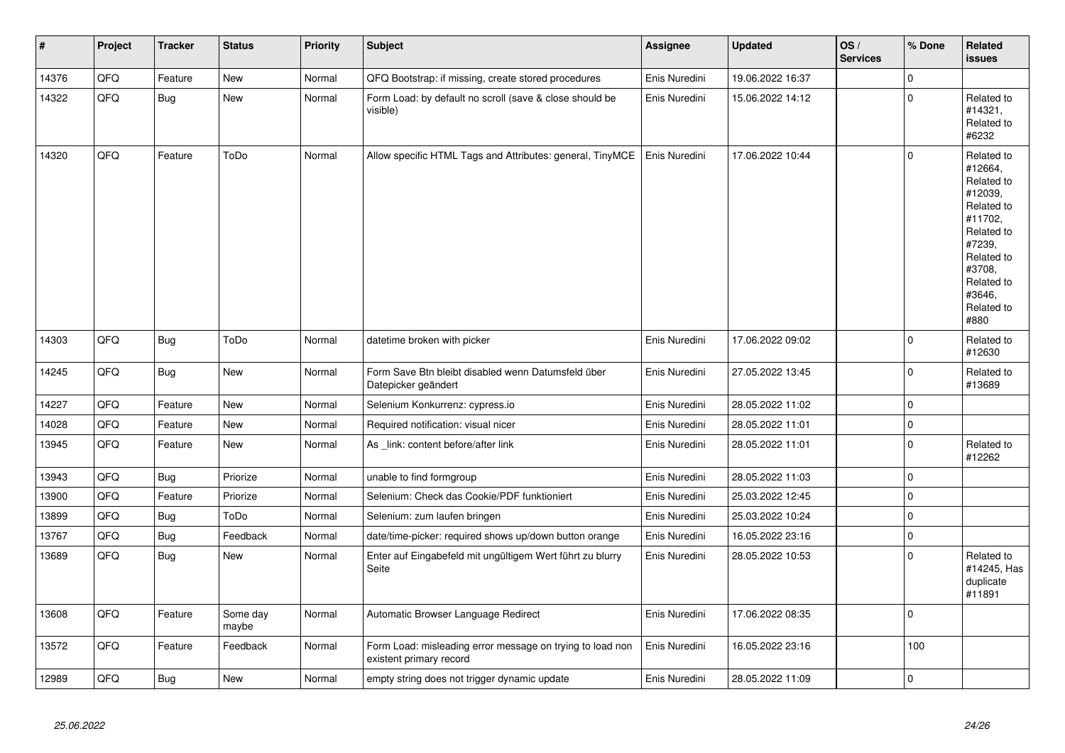| $\sharp$ | Project | <b>Tracker</b> | <b>Status</b>     | <b>Priority</b> | Subject                                                                              | <b>Assignee</b> | <b>Updated</b>   | OS/<br><b>Services</b> | % Done      | Related<br><b>issues</b>                                                                                                                                              |
|----------|---------|----------------|-------------------|-----------------|--------------------------------------------------------------------------------------|-----------------|------------------|------------------------|-------------|-----------------------------------------------------------------------------------------------------------------------------------------------------------------------|
| 14376    | QFQ     | Feature        | <b>New</b>        | Normal          | QFQ Bootstrap: if missing, create stored procedures                                  | Enis Nuredini   | 19.06.2022 16:37 |                        | $\mathbf 0$ |                                                                                                                                                                       |
| 14322    | QFQ     | <b>Bug</b>     | New               | Normal          | Form Load: by default no scroll (save & close should be<br>visible)                  | Enis Nuredini   | 15.06.2022 14:12 |                        | $\mathbf 0$ | Related to<br>#14321,<br>Related to<br>#6232                                                                                                                          |
| 14320    | QFQ     | Feature        | ToDo              | Normal          | Allow specific HTML Tags and Attributes: general, TinyMCE                            | Enis Nuredini   | 17.06.2022 10:44 |                        | $\mathbf 0$ | Related to<br>#12664,<br>Related to<br>#12039,<br>Related to<br>#11702,<br>Related to<br>#7239,<br>Related to<br>#3708,<br>Related to<br>#3646,<br>Related to<br>#880 |
| 14303    | QFQ     | Bug            | ToDo              | Normal          | datetime broken with picker                                                          | Enis Nuredini   | 17.06.2022 09:02 |                        | $\mathbf 0$ | Related to<br>#12630                                                                                                                                                  |
| 14245    | QFQ     | <b>Bug</b>     | New               | Normal          | Form Save Btn bleibt disabled wenn Datumsfeld über<br>Datepicker geändert            | Enis Nuredini   | 27.05.2022 13:45 |                        | $\pmb{0}$   | Related to<br>#13689                                                                                                                                                  |
| 14227    | QFQ     | Feature        | <b>New</b>        | Normal          | Selenium Konkurrenz: cypress.io                                                      | Enis Nuredini   | 28.05.2022 11:02 |                        | $\pmb{0}$   |                                                                                                                                                                       |
| 14028    | QFQ     | Feature        | New               | Normal          | Required notification: visual nicer                                                  | Enis Nuredini   | 28.05.2022 11:01 |                        | $\mathbf 0$ |                                                                                                                                                                       |
| 13945    | QFQ     | Feature        | New               | Normal          | As link: content before/after link                                                   | Enis Nuredini   | 28.05.2022 11:01 |                        | $\pmb{0}$   | Related to<br>#12262                                                                                                                                                  |
| 13943    | QFQ     | <b>Bug</b>     | Priorize          | Normal          | unable to find formgroup                                                             | Enis Nuredini   | 28.05.2022 11:03 |                        | $\pmb{0}$   |                                                                                                                                                                       |
| 13900    | QFQ     | Feature        | Priorize          | Normal          | Selenium: Check das Cookie/PDF funktioniert                                          | Enis Nuredini   | 25.03.2022 12:45 |                        | $\mathbf 0$ |                                                                                                                                                                       |
| 13899    | QFQ     | <b>Bug</b>     | ToDo              | Normal          | Selenium: zum laufen bringen                                                         | Enis Nuredini   | 25.03.2022 10:24 |                        | $\pmb{0}$   |                                                                                                                                                                       |
| 13767    | QFQ     | <b>Bug</b>     | Feedback          | Normal          | date/time-picker: required shows up/down button orange                               | Enis Nuredini   | 16.05.2022 23:16 |                        | $\mathbf 0$ |                                                                                                                                                                       |
| 13689    | QFQ     | <b>Bug</b>     | New               | Normal          | Enter auf Eingabefeld mit ungültigem Wert führt zu blurry<br>Seite                   | Enis Nuredini   | 28.05.2022 10:53 |                        | $\mathbf 0$ | Related to<br>#14245, Has<br>duplicate<br>#11891                                                                                                                      |
| 13608    | QFQ     | Feature        | Some day<br>maybe | Normal          | Automatic Browser Language Redirect                                                  | Enis Nuredini   | 17.06.2022 08:35 |                        | $\pmb{0}$   |                                                                                                                                                                       |
| 13572    | QFQ     | Feature        | Feedback          | Normal          | Form Load: misleading error message on trying to load non<br>existent primary record | Enis Nuredini   | 16.05.2022 23:16 |                        | 100         |                                                                                                                                                                       |
| 12989    | QFQ     | <b>Bug</b>     | New               | Normal          | empty string does not trigger dynamic update                                         | Enis Nuredini   | 28.05.2022 11:09 |                        | $\pmb{0}$   |                                                                                                                                                                       |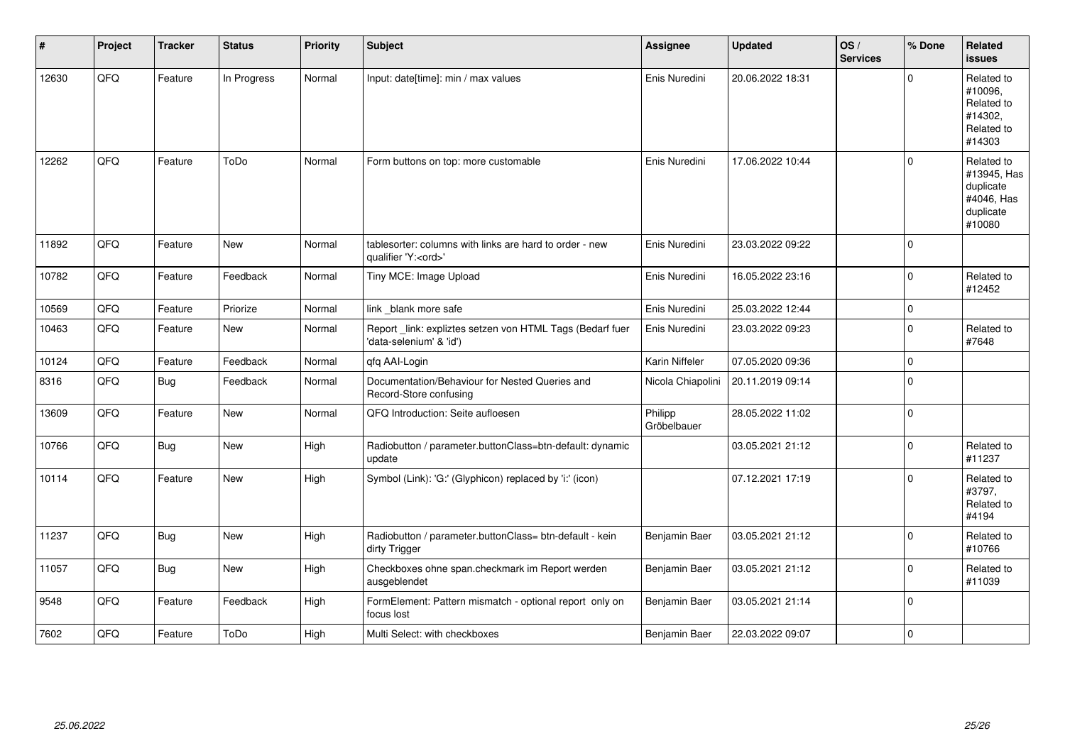| ∦     | Project | <b>Tracker</b> | <b>Status</b> | <b>Priority</b> | Subject                                                                               | Assignee               | <b>Updated</b>   | OS/<br><b>Services</b> | % Done      | Related<br><b>issues</b>                                                    |
|-------|---------|----------------|---------------|-----------------|---------------------------------------------------------------------------------------|------------------------|------------------|------------------------|-------------|-----------------------------------------------------------------------------|
| 12630 | QFQ     | Feature        | In Progress   | Normal          | Input: date[time]: min / max values                                                   | Enis Nuredini          | 20.06.2022 18:31 |                        | $\Omega$    | Related to<br>#10096,<br>Related to<br>#14302,<br>Related to<br>#14303      |
| 12262 | QFQ     | Feature        | ToDo          | Normal          | Form buttons on top: more customable                                                  | Enis Nuredini          | 17.06.2022 10:44 |                        | $\Omega$    | Related to<br>#13945, Has<br>duplicate<br>#4046, Has<br>duplicate<br>#10080 |
| 11892 | QFQ     | Feature        | <b>New</b>    | Normal          | tablesorter: columns with links are hard to order - new<br>qualifier 'Y: <ord>'</ord> | Enis Nuredini          | 23.03.2022 09:22 |                        | $\Omega$    |                                                                             |
| 10782 | QFQ     | Feature        | Feedback      | Normal          | Tiny MCE: Image Upload                                                                | Enis Nuredini          | 16.05.2022 23:16 |                        | $\mathbf 0$ | Related to<br>#12452                                                        |
| 10569 | QFQ     | Feature        | Priorize      | Normal          | link _blank more safe                                                                 | Enis Nuredini          | 25.03.2022 12:44 |                        | $\Omega$    |                                                                             |
| 10463 | QFQ     | Feature        | New           | Normal          | Report _link: expliztes setzen von HTML Tags (Bedarf fuer<br>'data-selenium' & 'id')  | Enis Nuredini          | 23.03.2022 09:23 |                        | $\Omega$    | Related to<br>#7648                                                         |
| 10124 | QFQ     | Feature        | Feedback      | Normal          | qfq AAI-Login                                                                         | Karin Niffeler         | 07.05.2020 09:36 |                        | $\mathbf 0$ |                                                                             |
| 8316  | QFQ     | Bug            | Feedback      | Normal          | Documentation/Behaviour for Nested Queries and<br>Record-Store confusing              | Nicola Chiapolini      | 20.11.2019 09:14 |                        | $\Omega$    |                                                                             |
| 13609 | QFQ     | Feature        | <b>New</b>    | Normal          | QFQ Introduction: Seite aufloesen                                                     | Philipp<br>Gröbelbauer | 28.05.2022 11:02 |                        | $\Omega$    |                                                                             |
| 10766 | QFQ     | Bug            | New           | High            | Radiobutton / parameter.buttonClass=btn-default: dynamic<br>update                    |                        | 03.05.2021 21:12 |                        | $\mathbf 0$ | Related to<br>#11237                                                        |
| 10114 | QFQ     | Feature        | <b>New</b>    | High            | Symbol (Link): 'G:' (Glyphicon) replaced by 'i:' (icon)                               |                        | 07.12.2021 17:19 |                        | $\Omega$    | Related to<br>#3797,<br>Related to<br>#4194                                 |
| 11237 | QFQ     | Bug            | New           | High            | Radiobutton / parameter.buttonClass= btn-default - kein<br>dirty Trigger              | Benjamin Baer          | 03.05.2021 21:12 |                        | $\mathbf 0$ | Related to<br>#10766                                                        |
| 11057 | QFQ     | <b>Bug</b>     | New           | High            | Checkboxes ohne span.checkmark im Report werden<br>ausgeblendet                       | Benjamin Baer          | 03.05.2021 21:12 |                        | $\Omega$    | Related to<br>#11039                                                        |
| 9548  | QFQ     | Feature        | Feedback      | High            | FormElement: Pattern mismatch - optional report only on<br>focus lost                 | Benjamin Baer          | 03.05.2021 21:14 |                        | $\mathbf 0$ |                                                                             |
| 7602  | QFQ     | Feature        | ToDo          | High            | Multi Select: with checkboxes                                                         | Benjamin Baer          | 22.03.2022 09:07 |                        | $\mathbf 0$ |                                                                             |